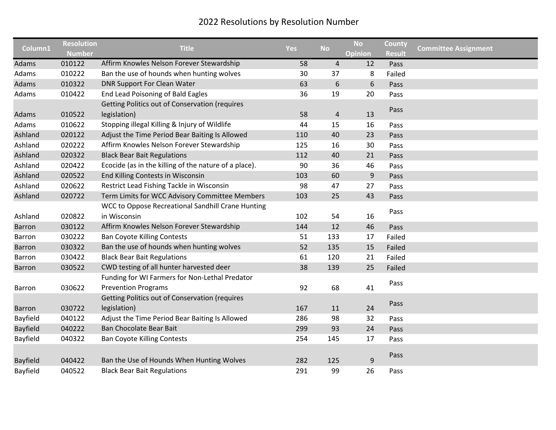| Column1         | <b>Resolution</b> | <b>Title</b>                                          | <b>Yes</b> | <b>No</b>      | <b>No</b>      | County        | <b>Committee Assignment</b> |
|-----------------|-------------------|-------------------------------------------------------|------------|----------------|----------------|---------------|-----------------------------|
|                 | <b>Number</b>     |                                                       |            |                | <b>Opinion</b> | <b>Result</b> |                             |
| Adams           | 010122            | Affirm Knowles Nelson Forever Stewardship             | 58         | $\overline{4}$ | 12             | Pass          |                             |
| Adams           | 010222            | Ban the use of hounds when hunting wolves             | 30         | 37             | 8              | Failed        |                             |
| Adams           | 010322            | <b>DNR Support For Clean Water</b>                    | 63         | 6              | 6              | Pass          |                             |
| Adams           | 010422            | End Lead Poisoning of Bald Eagles                     | 36         | 19             | 20             | Pass          |                             |
|                 |                   | Getting Politics out of Conservation (requires        |            |                |                | Pass          |                             |
| Adams           | 010522            | legislation)                                          | 58         | $\overline{4}$ | 13             |               |                             |
| Adams           | 010622            | Stopping illegal Killing & Injury of Wildlife         | 44         | 15             | 16             | Pass          |                             |
| Ashland         | 020122            | Adjust the Time Period Bear Baiting Is Allowed        | 110        | 40             | 23             | Pass          |                             |
| Ashland         | 020222            | Affirm Knowles Nelson Forever Stewardship             | 125        | 16             | 30             | Pass          |                             |
| Ashland         | 020322            | <b>Black Bear Bait Regulations</b>                    | 112        | 40             | 21             | Pass          |                             |
| Ashland         | 020422            | Ecocide (as in the killing of the nature of a place). | 90         | 36             | 46             | Pass          |                             |
| Ashland         | 020522            | End Killing Contests in Wisconsin                     | 103        | 60             | $9\,$          | Pass          |                             |
| Ashland         | 020622            | Restrict Lead Fishing Tackle in Wisconsin             | 98         | 47             | 27             | Pass          |                             |
| Ashland         | 020722            | Term Limits for WCC Advisory Committee Members        | 103        | 25             | 43             | Pass          |                             |
|                 |                   | WCC to Oppose Recreational Sandhill Crane Hunting     |            |                |                |               |                             |
| Ashland         | 020822            | in Wisconsin                                          | 102        | 54             | 16             | Pass          |                             |
| <b>Barron</b>   | 030122            | Affirm Knowles Nelson Forever Stewardship             | 144        | 12             | 46             | Pass          |                             |
| Barron          | 030222            | <b>Ban Coyote Killing Contests</b>                    | 51         | 133            | 17             | Failed        |                             |
| <b>Barron</b>   | 030322            | Ban the use of hounds when hunting wolves             | 52         | 135            | 15             | Failed        |                             |
| <b>Barron</b>   | 030422            | <b>Black Bear Bait Regulations</b>                    | 61         | 120            | 21             | Failed        |                             |
| <b>Barron</b>   | 030522            | CWD testing of all hunter harvested deer              | 38         | 139            | 25             | Failed        |                             |
|                 |                   | Funding for WI Farmers for Non-Lethal Predator        |            |                |                |               |                             |
| <b>Barron</b>   | 030622            | <b>Prevention Programs</b>                            | 92         | 68             | 41             | Pass          |                             |
|                 |                   | Getting Politics out of Conservation (requires        |            |                |                |               |                             |
| <b>Barron</b>   | 030722            | legislation)                                          | 167        | 11             | 24             | Pass          |                             |
| Bayfield        | 040122            | Adjust the Time Period Bear Baiting Is Allowed        | 286        | 98             | 32             | Pass          |                             |
| <b>Bayfield</b> | 040222            | Ban Chocolate Bear Bait                               | 299        | 93             | 24             | Pass          |                             |
| Bayfield        | 040322            | <b>Ban Coyote Killing Contests</b>                    | 254        | 145            | 17             | Pass          |                             |
|                 |                   |                                                       |            |                |                |               |                             |
| <b>Bayfield</b> | 040422            | Ban the Use of Hounds When Hunting Wolves             | 282        | 125            | 9              | Pass          |                             |
| Bayfield        | 040522            | <b>Black Bear Bait Regulations</b>                    | 291        | 99             | 26             | Pass          |                             |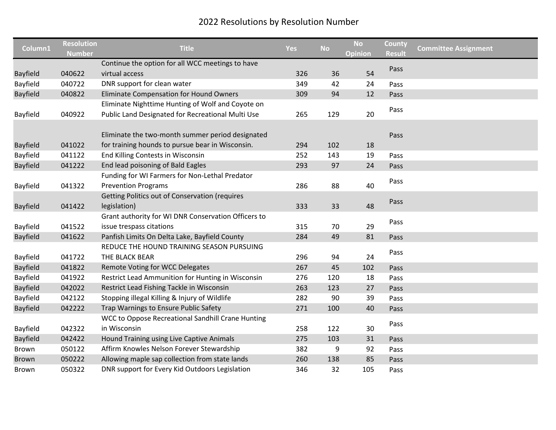| Column1         | <b>Resolution</b><br><b>Number</b> | <b>Title</b>                                                                                         | <b>Yes</b> | <b>No</b> | <b>No</b><br>Opinion | County<br><b>Result</b> | <b>Committee Assignment</b> |
|-----------------|------------------------------------|------------------------------------------------------------------------------------------------------|------------|-----------|----------------------|-------------------------|-----------------------------|
|                 |                                    | Continue the option for all WCC meetings to have                                                     |            |           |                      |                         |                             |
| <b>Bayfield</b> | 040622                             | virtual access                                                                                       | 326        | 36        | 54                   | Pass                    |                             |
| Bayfield        | 040722                             | DNR support for clean water                                                                          | 349        | 42        | 24                   | Pass                    |                             |
| Bayfield        | 040822                             | <b>Eliminate Compensation for Hound Owners</b>                                                       | 309        | 94        | 12                   | Pass                    |                             |
|                 |                                    | Eliminate Nighttime Hunting of Wolf and Coyote on                                                    |            |           |                      |                         |                             |
| Bayfield        | 040922                             | Public Land Designated for Recreational Multi Use                                                    | 265        | 129       | 20                   | Pass                    |                             |
| <b>Bayfield</b> | 041022                             | Eliminate the two-month summer period designated<br>for training hounds to pursue bear in Wisconsin. | 294        | 102       | 18                   | Pass                    |                             |
| Bayfield        | 041122                             | End Killing Contests in Wisconsin                                                                    | 252        | 143       | 19                   | Pass                    |                             |
| <b>Bayfield</b> | 041222                             | End lead poisoning of Bald Eagles                                                                    | 293        | 97        | 24                   | Pass                    |                             |
|                 |                                    | Funding for WI Farmers for Non-Lethal Predator                                                       |            |           |                      |                         |                             |
| Bayfield        | 041322                             | <b>Prevention Programs</b>                                                                           | 286        | 88        | 40                   | Pass                    |                             |
| <b>Bayfield</b> | 041422                             | <b>Getting Politics out of Conservation (requires</b><br>legislation)                                | 333        | 33        | 48                   | Pass                    |                             |
|                 |                                    | Grant authority for WI DNR Conservation Officers to                                                  |            |           |                      |                         |                             |
| Bayfield        | 041522                             | issue trespass citations                                                                             | 315        | 70        | 29                   | Pass                    |                             |
| <b>Bayfield</b> | 041622                             | Panfish Limits On Delta Lake, Bayfield County                                                        | 284        | 49        | 81                   | Pass                    |                             |
| Bayfield        | 041722                             | REDUCE THE HOUND TRAINING SEASON PURSUING<br>THE BLACK BEAR                                          | 296        | 94        | 24                   | Pass                    |                             |
| Bayfield        | 041822                             | Remote Voting for WCC Delegates                                                                      | 267        | 45        | 102                  | Pass                    |                             |
| Bayfield        | 041922                             | Restrict Lead Ammunition for Hunting in Wisconsin                                                    | 276        | 120       | 18                   | Pass                    |                             |
| <b>Bayfield</b> | 042022                             | Restrict Lead Fishing Tackle in Wisconsin                                                            | 263        | 123       | 27                   | Pass                    |                             |
| Bayfield        | 042122                             | Stopping illegal Killing & Injury of Wildlife                                                        | 282        | 90        | 39                   | Pass                    |                             |
| <b>Bayfield</b> | 042222                             | Trap Warnings to Ensure Public Safety                                                                | 271        | 100       | 40                   | Pass                    |                             |
|                 |                                    | WCC to Oppose Recreational Sandhill Crane Hunting                                                    |            |           |                      | Pass                    |                             |
| Bayfield        | 042322                             | in Wisconsin                                                                                         | 258        | 122       | 30                   |                         |                             |
| <b>Bayfield</b> | 042422                             | Hound Training using Live Captive Animals                                                            | 275        | 103       | 31                   | Pass                    |                             |
| Brown           | 050122                             | Affirm Knowles Nelson Forever Stewardship                                                            | 382        | 9         | 92                   | Pass                    |                             |
| <b>Brown</b>    | 050222                             | Allowing maple sap collection from state lands                                                       | 260        | 138       | 85                   | Pass                    |                             |
| <b>Brown</b>    | 050322                             | DNR support for Every Kid Outdoors Legislation                                                       | 346        | 32        | 105                  | Pass                    |                             |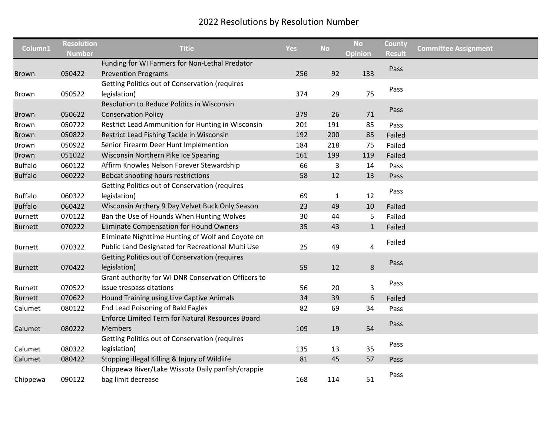|                | <b>Resolution</b> |                                                         |            |              | <b>No</b>    | County        |                             |
|----------------|-------------------|---------------------------------------------------------|------------|--------------|--------------|---------------|-----------------------------|
| Column1        | <b>Number</b>     | <b>Title</b>                                            | <b>Yes</b> | <b>No</b>    | Opinion      | <b>Result</b> | <b>Committee Assignment</b> |
|                |                   | Funding for WI Farmers for Non-Lethal Predator          |            |              |              | Pass          |                             |
| <b>Brown</b>   | 050422            | <b>Prevention Programs</b>                              | 256        | 92           | 133          |               |                             |
|                |                   | <b>Getting Politics out of Conservation (requires</b>   |            |              |              | Pass          |                             |
| Brown          | 050522            | legislation)                                            | 374        | 29           | 75           |               |                             |
|                |                   | Resolution to Reduce Politics in Wisconsin              |            |              |              | Pass          |                             |
| <b>Brown</b>   | 050622            | <b>Conservation Policy</b>                              | 379        | 26           | 71           |               |                             |
| Brown          | 050722            | Restrict Lead Ammunition for Hunting in Wisconsin       | 201        | 191          | 85           | Pass          |                             |
| <b>Brown</b>   | 050822            | Restrict Lead Fishing Tackle in Wisconsin               | 192        | 200          | 85           | Failed        |                             |
| Brown          | 050922            | Senior Firearm Deer Hunt Implemention                   | 184        | 218          | 75           | Failed        |                             |
| <b>Brown</b>   | 051022            | Wisconsin Northern Pike Ice Spearing                    | 161        | 199          | 119          | Failed        |                             |
| <b>Buffalo</b> | 060122            | Affirm Knowles Nelson Forever Stewardship               | 66         | 3            | 14           | Pass          |                             |
| <b>Buffalo</b> | 060222            | Bobcat shooting hours restrictions                      | 58         | 12           | 13           | Pass          |                             |
|                |                   | <b>Getting Politics out of Conservation (requires</b>   |            |              |              |               |                             |
| <b>Buffalo</b> | 060322            | legislation)                                            | 69         | $\mathbf{1}$ | 12           | Pass          |                             |
| <b>Buffalo</b> | 060422            | Wisconsin Archery 9 Day Velvet Buck Only Season         | 23         | 49           | 10           | Failed        |                             |
| <b>Burnett</b> | 070122            | Ban the Use of Hounds When Hunting Wolves               | 30         | 44           | 5            | Failed        |                             |
| <b>Burnett</b> | 070222            | Eliminate Compensation for Hound Owners                 | 35         | 43           | $\mathbf{1}$ | Failed        |                             |
|                |                   | Eliminate Nighttime Hunting of Wolf and Coyote on       |            |              |              |               |                             |
| <b>Burnett</b> | 070322            | Public Land Designated for Recreational Multi Use       | 25         | 49           | 4            | Failed        |                             |
|                |                   | <b>Getting Politics out of Conservation (requires</b>   |            |              |              |               |                             |
| <b>Burnett</b> | 070422            | legislation)                                            | 59         | 12           | 8            | Pass          |                             |
|                |                   | Grant authority for WI DNR Conservation Officers to     |            |              |              |               |                             |
| <b>Burnett</b> | 070522            | issue trespass citations                                | 56         | 20           | 3            | Pass          |                             |
| <b>Burnett</b> | 070622            | Hound Training using Live Captive Animals               | 34         | 39           | 6            | Failed        |                             |
| Calumet        | 080122            | End Lead Poisoning of Bald Eagles                       | 82         | 69           | 34           | Pass          |                             |
|                |                   | <b>Enforce Limited Term for Natural Resources Board</b> |            |              |              |               |                             |
| Calumet        | 080222            | Members                                                 | 109        | 19           | 54           | Pass          |                             |
|                |                   | <b>Getting Politics out of Conservation (requires</b>   |            |              |              |               |                             |
| Calumet        | 080322            | legislation)                                            | 135        | 13           | 35           | Pass          |                             |
| Calumet        | 080422            | Stopping illegal Killing & Injury of Wildlife           | 81         | 45           | 57           | Pass          |                             |
|                |                   | Chippewa River/Lake Wissota Daily panfish/crappie       |            |              |              |               |                             |
| Chippewa       | 090122            | bag limit decrease                                      | 168        | 114          | 51           | Pass          |                             |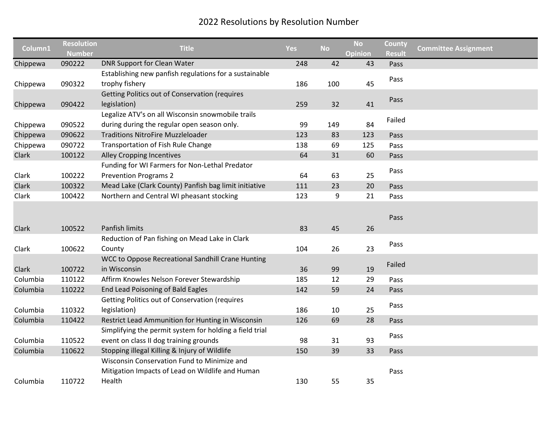|          | <b>Resolution</b> |                                                         |            |           | <b>No</b>      | County        |                             |
|----------|-------------------|---------------------------------------------------------|------------|-----------|----------------|---------------|-----------------------------|
| Column1  | <b>Number</b>     | <b>Title</b>                                            | <b>Yes</b> | <b>No</b> | <b>Opinion</b> | <b>Result</b> | <b>Committee Assignment</b> |
| Chippewa | 090222            | DNR Support for Clean Water                             | 248        | 42        | 43             | Pass          |                             |
|          |                   | Establishing new panfish regulations for a sustainable  |            |           |                |               |                             |
| Chippewa | 090322            | trophy fishery                                          | 186        | 100       | 45             | Pass          |                             |
|          |                   | <b>Getting Politics out of Conservation (requires</b>   |            |           |                |               |                             |
| Chippewa | 090422            | legislation)                                            | 259        | 32        | 41             | Pass          |                             |
|          |                   | Legalize ATV's on all Wisconsin snowmobile trails       |            |           |                | Failed        |                             |
| Chippewa | 090522            | during during the regular open season only.             | 99         | 149       | 84             |               |                             |
| Chippewa | 090622            | <b>Traditions NitroFire Muzzleloader</b>                | 123        | 83        | 123            | Pass          |                             |
| Chippewa | 090722            | Transportation of Fish Rule Change                      | 138        | 69        | 125            | Pass          |                             |
| Clark    | 100122            | <b>Alley Cropping Incentives</b>                        | 64         | 31        | 60             | Pass          |                             |
|          |                   | Funding for WI Farmers for Non-Lethal Predator          |            |           |                |               |                             |
| Clark    | 100222            | <b>Prevention Programs 2</b>                            | 64         | 63        | 25             | Pass          |                             |
| Clark    | 100322            | Mead Lake (Clark County) Panfish bag limit initiative   | 111        | 23        | 20             | Pass          |                             |
| Clark    | 100422            | Northern and Central WI pheasant stocking               | 123        | 9         | 21             | Pass          |                             |
|          |                   |                                                         |            |           |                |               |                             |
|          |                   |                                                         |            |           |                | Pass          |                             |
| Clark    | 100522            | Panfish limits                                          | 83         | 45        | 26             |               |                             |
|          |                   | Reduction of Pan fishing on Mead Lake in Clark          |            |           |                |               |                             |
| Clark    | 100622            | County                                                  | 104        | 26        | 23             | Pass          |                             |
|          |                   | WCC to Oppose Recreational Sandhill Crane Hunting       |            |           |                |               |                             |
| Clark    | 100722            | in Wisconsin                                            | 36         | 99        | 19             | Failed        |                             |
| Columbia | 110122            | Affirm Knowles Nelson Forever Stewardship               | 185        | 12        | 29             | Pass          |                             |
| Columbia | 110222            | End Lead Poisoning of Bald Eagles                       | 142        | 59        | 24             | Pass          |                             |
|          |                   | <b>Getting Politics out of Conservation (requires</b>   |            |           |                |               |                             |
| Columbia | 110322            | legislation)                                            | 186        | 10        | 25             | Pass          |                             |
| Columbia | 110422            | Restrict Lead Ammunition for Hunting in Wisconsin       | 126        | 69        | 28             | Pass          |                             |
|          |                   | Simplifying the permit system for holding a field trial |            |           |                |               |                             |
| Columbia | 110522            | event on class II dog training grounds                  | 98         | 31        | 93             | Pass          |                             |
| Columbia | 110622            | Stopping illegal Killing & Injury of Wildlife           | 150        | 39        | 33             | Pass          |                             |
|          |                   | Wisconsin Conservation Fund to Minimize and             |            |           |                |               |                             |
|          |                   | Mitigation Impacts of Lead on Wildlife and Human        |            |           |                | Pass          |                             |
| Columbia | 110722            | Health                                                  | 130        | 55        | 35             |               |                             |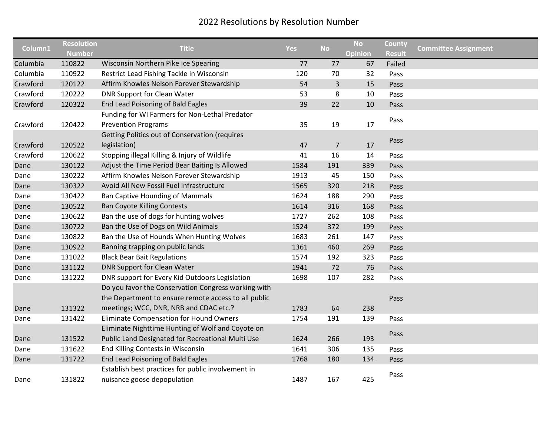|          | <b>Resolution</b> |                                                       |            |                | <b>No</b>      | County        |                             |
|----------|-------------------|-------------------------------------------------------|------------|----------------|----------------|---------------|-----------------------------|
| Column1  | <b>Number</b>     | <b>Title</b>                                          | <b>Yes</b> | <b>No</b>      | <b>Opinion</b> | <b>Result</b> | <b>Committee Assignment</b> |
| Columbia | 110822            | Wisconsin Northern Pike Ice Spearing                  | 77         | 77             | 67             | Failed        |                             |
| Columbia | 110922            | Restrict Lead Fishing Tackle in Wisconsin             | 120        | 70             | 32             | Pass          |                             |
| Crawford | 120122            | Affirm Knowles Nelson Forever Stewardship             | 54         | $\mathsf{3}$   | 15             | Pass          |                             |
| Crawford | 120222            | <b>DNR Support for Clean Water</b>                    | 53         | 8              | 10             | Pass          |                             |
| Crawford | 120322            | End Lead Poisoning of Bald Eagles                     | 39         | 22             | 10             | Pass          |                             |
|          |                   | Funding for WI Farmers for Non-Lethal Predator        |            |                |                |               |                             |
| Crawford | 120422            | <b>Prevention Programs</b>                            | 35         | 19             | 17             | Pass          |                             |
|          |                   | <b>Getting Politics out of Conservation (requires</b> |            |                |                |               |                             |
| Crawford | 120522            | legislation)                                          | 47         | $\overline{7}$ | 17             | Pass          |                             |
| Crawford | 120622            | Stopping illegal Killing & Injury of Wildlife         | 41         | 16             | 14             | Pass          |                             |
| Dane     | 130122            | Adjust the Time Period Bear Baiting Is Allowed        | 1584       | 191            | 339            | Pass          |                             |
| Dane     | 130222            | Affirm Knowles Nelson Forever Stewardship             | 1913       | 45             | 150            | Pass          |                             |
| Dane     | 130322            | Avoid All New Fossil Fuel Infrastructure              | 1565       | 320            | 218            | Pass          |                             |
| Dane     | 130422            | <b>Ban Captive Hounding of Mammals</b>                | 1624       | 188            | 290            | Pass          |                             |
| Dane     | 130522            | <b>Ban Coyote Killing Contests</b>                    | 1614       | 316            | 168            | Pass          |                             |
| Dane     | 130622            | Ban the use of dogs for hunting wolves                | 1727       | 262            | 108            | Pass          |                             |
| Dane     | 130722            | Ban the Use of Dogs on Wild Animals                   | 1524       | 372            | 199            | Pass          |                             |
| Dane     | 130822            | Ban the Use of Hounds When Hunting Wolves             | 1683       | 261            | 147            | Pass          |                             |
| Dane     | 130922            | Banning trapping on public lands                      | 1361       | 460            | 269            | Pass          |                             |
| Dane     | 131022            | <b>Black Bear Bait Regulations</b>                    | 1574       | 192            | 323            | Pass          |                             |
| Dane     | 131122            | DNR Support for Clean Water                           | 1941       | 72             | 76             | Pass          |                             |
| Dane     | 131222            | DNR support for Every Kid Outdoors Legislation        | 1698       | 107            | 282            | Pass          |                             |
|          |                   | Do you favor the Conservation Congress working with   |            |                |                |               |                             |
|          |                   | the Department to ensure remote access to all public  |            |                |                | Pass          |                             |
| Dane     | 131322            | meetings; WCC, DNR, NRB and CDAC etc.?                | 1783       | 64             | 238            |               |                             |
| Dane     | 131422            | Eliminate Compensation for Hound Owners               | 1754       | 191            | 139            | Pass          |                             |
|          |                   | Eliminate Nighttime Hunting of Wolf and Coyote on     |            |                |                |               |                             |
| Dane     | 131522            | Public Land Designated for Recreational Multi Use     | 1624       | 266            | 193            | Pass          |                             |
| Dane     | 131622            | End Killing Contests in Wisconsin                     | 1641       | 306            | 135            | Pass          |                             |
| Dane     | 131722            | End Lead Poisoning of Bald Eagles                     | 1768       | 180            | 134            | Pass          |                             |
|          |                   | Establish best practices for public involvement in    |            |                |                |               |                             |
| Dane     | 131822            | nuisance goose depopulation                           | 1487       | 167            | 425            | Pass          |                             |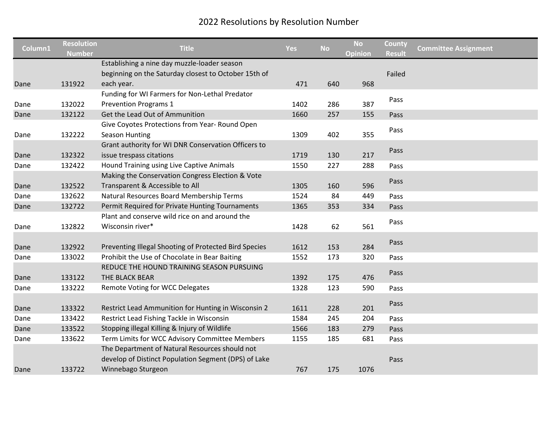| Column1 | <b>Resolution</b> | <b>Title</b>                                          | <b>Yes</b> | <b>No</b> | <b>No</b>      | County        | <b>Committee Assignment</b> |
|---------|-------------------|-------------------------------------------------------|------------|-----------|----------------|---------------|-----------------------------|
|         | Number            | Establishing a nine day muzzle-loader season          |            |           | <b>Opinion</b> | <b>Result</b> |                             |
|         |                   | beginning on the Saturday closest to October 15th of  |            |           |                | Failed        |                             |
| Dane    | 131922            | each year.                                            | 471        | 640       | 968            |               |                             |
|         |                   | Funding for WI Farmers for Non-Lethal Predator        |            |           |                |               |                             |
| Dane    | 132022            | <b>Prevention Programs 1</b>                          | 1402       | 286       | 387            | Pass          |                             |
| Dane    | 132122            | Get the Lead Out of Ammunition                        | 1660       | 257       | 155            | Pass          |                             |
|         |                   | Give Coyotes Protections from Year- Round Open        |            |           |                |               |                             |
| Dane    | 132222            | Season Hunting                                        | 1309       | 402       | 355            | Pass          |                             |
|         |                   | Grant authority for WI DNR Conservation Officers to   |            |           |                |               |                             |
| Dane    | 132322            | issue trespass citations                              | 1719       | 130       | 217            | Pass          |                             |
| Dane    | 132422            | Hound Training using Live Captive Animals             | 1550       | 227       | 288            | Pass          |                             |
|         |                   | Making the Conservation Congress Election & Vote      |            |           |                |               |                             |
| Dane    | 132522            | Transparent & Accessible to All                       | 1305       | 160       | 596            | Pass          |                             |
| Dane    | 132622            | Natural Resources Board Membership Terms              | 1524       | 84        | 449            | Pass          |                             |
| Dane    | 132722            | Permit Required for Private Hunting Tournaments       | 1365       | 353       | 334            | Pass          |                             |
|         |                   | Plant and conserve wild rice on and around the        |            |           |                |               |                             |
| Dane    | 132822            | Wisconsin river*                                      | 1428       | 62        | 561            | Pass          |                             |
|         |                   |                                                       |            |           |                |               |                             |
| Dane    | 132922            | Preventing Illegal Shooting of Protected Bird Species | 1612       | 153       | 284            | Pass          |                             |
| Dane    | 133022            | Prohibit the Use of Chocolate in Bear Baiting         | 1552       | 173       | 320            | Pass          |                             |
|         |                   | REDUCE THE HOUND TRAINING SEASON PURSUING             |            |           |                |               |                             |
| Dane    | 133122            | THE BLACK BEAR                                        | 1392       | 175       | 476            | Pass          |                             |
| Dane    | 133222            | Remote Voting for WCC Delegates                       | 1328       | 123       | 590            | Pass          |                             |
|         |                   |                                                       |            |           |                |               |                             |
| Dane    | 133322            | Restrict Lead Ammunition for Hunting in Wisconsin 2   | 1611       | 228       | 201            | Pass          |                             |
| Dane    | 133422            | Restrict Lead Fishing Tackle in Wisconsin             | 1584       | 245       | 204            | Pass          |                             |
| Dane    | 133522            | Stopping illegal Killing & Injury of Wildlife         | 1566       | 183       | 279            | Pass          |                             |
| Dane    | 133622            | Term Limits for WCC Advisory Committee Members        | 1155       | 185       | 681            | Pass          |                             |
|         |                   | The Department of Natural Resources should not        |            |           |                |               |                             |
|         |                   | develop of Distinct Population Segment (DPS) of Lake  |            |           |                | Pass          |                             |
| Dane    | 133722            | Winnebago Sturgeon                                    | 767        | 175       | 1076           |               |                             |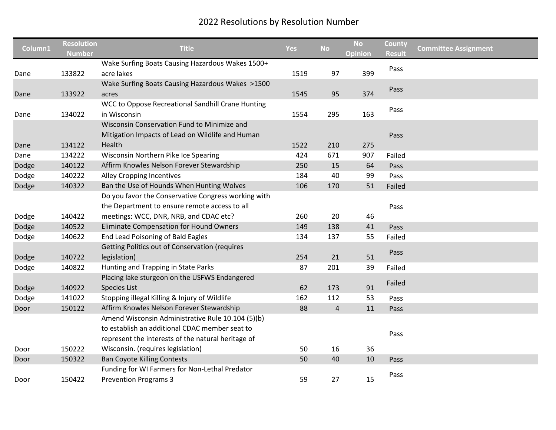|         | <b>Resolution</b> |                                                       |            |           | <b>No</b> | County        |                             |
|---------|-------------------|-------------------------------------------------------|------------|-----------|-----------|---------------|-----------------------------|
| Column1 | <b>Number</b>     | <b>Title</b>                                          | <b>Yes</b> | <b>No</b> | Opinion   | <b>Result</b> | <b>Committee Assignment</b> |
|         |                   | Wake Surfing Boats Causing Hazardous Wakes 1500+      |            |           |           | Pass          |                             |
| Dane    | 133822            | acre lakes                                            | 1519       | 97        | 399       |               |                             |
|         |                   | Wake Surfing Boats Causing Hazardous Wakes >1500      |            |           |           | Pass          |                             |
| Dane    | 133922            | acres                                                 | 1545       | 95        | 374       |               |                             |
|         |                   | WCC to Oppose Recreational Sandhill Crane Hunting     |            |           |           | Pass          |                             |
| Dane    | 134022            | in Wisconsin                                          | 1554       | 295       | 163       |               |                             |
|         |                   | Wisconsin Conservation Fund to Minimize and           |            |           |           |               |                             |
|         |                   | Mitigation Impacts of Lead on Wildlife and Human      |            |           |           | Pass          |                             |
| Dane    | 134122            | Health                                                | 1522       | 210       | 275       |               |                             |
| Dane    | 134222            | Wisconsin Northern Pike Ice Spearing                  | 424        | 671       | 907       | Failed        |                             |
| Dodge   | 140122            | Affirm Knowles Nelson Forever Stewardship             | 250        | 15        | 64        | Pass          |                             |
| Dodge   | 140222            | Alley Cropping Incentives                             | 184        | 40        | 99        | Pass          |                             |
| Dodge   | 140322            | Ban the Use of Hounds When Hunting Wolves             | 106        | 170       | 51        | Failed        |                             |
|         |                   | Do you favor the Conservative Congress working with   |            |           |           |               |                             |
|         |                   | the Department to ensure remote access to all         |            |           |           | Pass          |                             |
| Dodge   | 140422            | meetings: WCC, DNR, NRB, and CDAC etc?                | 260        | 20        | 46        |               |                             |
| Dodge   | 140522            | <b>Eliminate Compensation for Hound Owners</b>        | 149        | 138       | 41        | Pass          |                             |
| Dodge   | 140622            | End Lead Poisoning of Bald Eagles                     | 134        | 137       | 55        | Failed        |                             |
|         |                   | <b>Getting Politics out of Conservation (requires</b> |            |           |           |               |                             |
| Dodge   | 140722            | legislation)                                          | 254        | 21        | 51        | Pass          |                             |
| Dodge   | 140822            | Hunting and Trapping in State Parks                   | 87         | 201       | 39        | Failed        |                             |
|         |                   | Placing lake sturgeon on the USFWS Endangered         |            |           |           |               |                             |
| Dodge   | 140922            | <b>Species List</b>                                   | 62         | 173       | 91        | Failed        |                             |
| Dodge   | 141022            | Stopping illegal Killing & Injury of Wildlife         | 162        | 112       | 53        | Pass          |                             |
| Door    | 150122            | Affirm Knowles Nelson Forever Stewardship             | 88         | 4         | 11        | Pass          |                             |
|         |                   | Amend Wisconsin Administrative Rule 10.104 (5)(b)     |            |           |           |               |                             |
|         |                   | to establish an additional CDAC member seat to        |            |           |           |               |                             |
|         |                   | represent the interests of the natural heritage of    |            |           |           | Pass          |                             |
| Door    | 150222            | Wisconsin. (requires legislation)                     | 50         | 16        | 36        |               |                             |
| Door    | 150322            | <b>Ban Coyote Killing Contests</b>                    | 50         | 40        | 10        | Pass          |                             |
|         |                   | Funding for WI Farmers for Non-Lethal Predator        |            |           |           |               |                             |
| Door    | 150422            | <b>Prevention Programs 3</b>                          | 59         | 27        | 15        | Pass          |                             |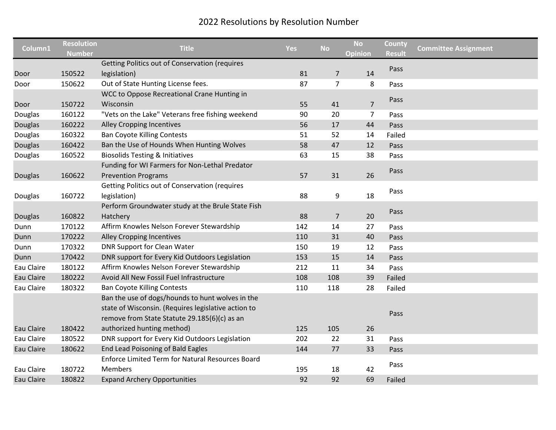|                   | <b>Resolution</b> |                                                         |            |                | <b>No</b>      | County        |                             |
|-------------------|-------------------|---------------------------------------------------------|------------|----------------|----------------|---------------|-----------------------------|
| Column1           | <b>Number</b>     | <b>Title</b>                                            | <b>Yes</b> | <b>No</b>      | <b>Opinion</b> | <b>Result</b> | <b>Committee Assignment</b> |
|                   |                   | <b>Getting Politics out of Conservation (requires</b>   |            |                |                | Pass          |                             |
| Door              | 150522            | legislation)                                            | 81         | 7              | 14             |               |                             |
| Door              | 150622            | Out of State Hunting License fees.                      | 87         | $\overline{7}$ | 8              | Pass          |                             |
|                   |                   | WCC to Oppose Recreational Crane Hunting in             |            |                |                |               |                             |
| Door              | 150722            | Wisconsin                                               | 55         | 41             | $\overline{7}$ | Pass          |                             |
| Douglas           | 160122            | "Vets on the Lake" Veterans free fishing weekend        | 90         | 20             | $\overline{7}$ | Pass          |                             |
| Douglas           | 160222            | Alley Cropping Incentives                               | 56         | 17             | 44             | Pass          |                             |
| Douglas           | 160322            | <b>Ban Coyote Killing Contests</b>                      | 51         | 52             | 14             | Failed        |                             |
| Douglas           | 160422            | Ban the Use of Hounds When Hunting Wolves               | 58         | 47             | 12             | Pass          |                             |
| Douglas           | 160522            | <b>Biosolids Testing &amp; Initiatives</b>              | 63         | 15             | 38             | Pass          |                             |
|                   |                   | Funding for WI Farmers for Non-Lethal Predator          |            |                |                |               |                             |
| <b>Douglas</b>    | 160622            | <b>Prevention Programs</b>                              | 57         | 31             | 26             | Pass          |                             |
|                   |                   | <b>Getting Politics out of Conservation (requires</b>   |            |                |                |               |                             |
| Douglas           | 160722            | legislation)                                            | 88         | 9              | 18             | Pass          |                             |
|                   |                   | Perform Groundwater study at the Brule State Fish       |            |                |                |               |                             |
| <b>Douglas</b>    | 160822            | Hatchery                                                | 88         | $\overline{7}$ | 20             | Pass          |                             |
| Dunn              | 170122            | Affirm Knowles Nelson Forever Stewardship               | 142        | 14             | 27             | Pass          |                             |
| Dunn              | 170222            | <b>Alley Cropping Incentives</b>                        | 110        | 31             | 40             | Pass          |                             |
| Dunn              | 170322            | <b>DNR Support for Clean Water</b>                      | 150        | 19             | 12             | Pass          |                             |
| Dunn              | 170422            | DNR support for Every Kid Outdoors Legislation          | 153        | 15             | 14             | Pass          |                             |
| Eau Claire        | 180122            | Affirm Knowles Nelson Forever Stewardship               | 212        | 11             | 34             | Pass          |                             |
| Eau Claire        | 180222            | Avoid All New Fossil Fuel Infrastructure                | 108        | 108            | 39             | Failed        |                             |
| Eau Claire        | 180322            | <b>Ban Coyote Killing Contests</b>                      | 110        | 118            | 28             | Failed        |                             |
|                   |                   | Ban the use of dogs/hounds to hunt wolves in the        |            |                |                |               |                             |
|                   |                   | state of Wisconsin. (Requires legislative action to     |            |                |                |               |                             |
|                   |                   | remove from State Statute 29.185(6)(c) as an            |            |                |                | Pass          |                             |
| <b>Eau Claire</b> | 180422            | authorized hunting method)                              | 125        | 105            | 26             |               |                             |
| Eau Claire        | 180522            | DNR support for Every Kid Outdoors Legislation          | 202        | 22             | 31             | Pass          |                             |
| Eau Claire        | 180622            | End Lead Poisoning of Bald Eagles                       | 144        | 77             | 33             | Pass          |                             |
|                   |                   | <b>Enforce Limited Term for Natural Resources Board</b> |            |                |                |               |                             |
| Eau Claire        | 180722            | <b>Members</b>                                          | 195        | 18             | 42             | Pass          |                             |
| <b>Eau Claire</b> | 180822            | <b>Expand Archery Opportunities</b>                     | 92         | 92             | 69             | Failed        |                             |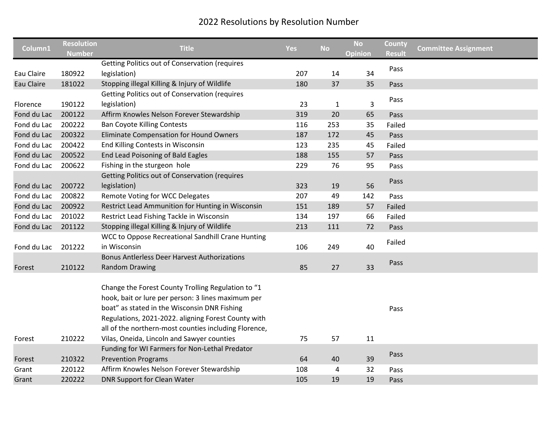|             | <b>Resolution</b> |                                                       |            |              | <b>No</b>      | County        |                             |
|-------------|-------------------|-------------------------------------------------------|------------|--------------|----------------|---------------|-----------------------------|
| Column1     | <b>Number</b>     | <b>Title</b>                                          | <b>Yes</b> | <b>No</b>    | <b>Opinion</b> | <b>Result</b> | <b>Committee Assignment</b> |
|             |                   | <b>Getting Politics out of Conservation (requires</b> |            |              |                | Pass          |                             |
| Eau Claire  | 180922            | legislation)                                          | 207        | 14           | 34             |               |                             |
| Eau Claire  | 181022            | Stopping illegal Killing & Injury of Wildlife         | 180        | 37           | 35             | Pass          |                             |
|             |                   | Getting Politics out of Conservation (requires        |            |              |                | Pass          |                             |
| Florence    | 190122            | legislation)                                          | 23         | $\mathbf{1}$ | 3              |               |                             |
| Fond du Lac | 200122            | Affirm Knowles Nelson Forever Stewardship             | 319        | 20           | 65             | Pass          |                             |
| Fond du Lac | 200222            | <b>Ban Coyote Killing Contests</b>                    | 116        | 253          | 35             | Failed        |                             |
| Fond du Lac | 200322            | <b>Eliminate Compensation for Hound Owners</b>        | 187        | 172          | 45             | Pass          |                             |
| Fond du Lac | 200422            | End Killing Contests in Wisconsin                     | 123        | 235          | 45             | Failed        |                             |
| Fond du Lac | 200522            | End Lead Poisoning of Bald Eagles                     | 188        | 155          | 57             | Pass          |                             |
| Fond du Lac | 200622            | Fishing in the sturgeon hole                          | 229        | 76           | 95             | Pass          |                             |
|             |                   | Getting Politics out of Conservation (requires        |            |              |                |               |                             |
| Fond du Lac | 200722            | legislation)                                          | 323        | 19           | 56             | Pass          |                             |
| Fond du Lac | 200822            | Remote Voting for WCC Delegates                       | 207        | 49           | 142            | Pass          |                             |
| Fond du Lac | 200922            | Restrict Lead Ammunition for Hunting in Wisconsin     | 151        | 189          | 57             | Failed        |                             |
| Fond du Lac | 201022            | Restrict Lead Fishing Tackle in Wisconsin             | 134        | 197          | 66             | Failed        |                             |
| Fond du Lac | 201122            | Stopping illegal Killing & Injury of Wildlife         | 213        | 111          | 72             | Pass          |                             |
|             |                   | WCC to Oppose Recreational Sandhill Crane Hunting     |            |              |                |               |                             |
| Fond du Lac | 201222            | in Wisconsin                                          | 106        | 249          | 40             | Failed        |                             |
|             |                   | <b>Bonus Antlerless Deer Harvest Authorizations</b>   |            |              |                |               |                             |
| Forest      | 210122            | <b>Random Drawing</b>                                 | 85         | 27           | 33             | Pass          |                             |
|             |                   |                                                       |            |              |                |               |                             |
|             |                   | Change the Forest County Trolling Regulation to "1    |            |              |                |               |                             |
|             |                   | hook, bait or lure per person: 3 lines maximum per    |            |              |                |               |                             |
|             |                   | boat" as stated in the Wisconsin DNR Fishing          |            |              |                | Pass          |                             |
|             |                   | Regulations, 2021-2022. aligning Forest County with   |            |              |                |               |                             |
|             |                   | all of the northern-most counties including Florence, |            |              |                |               |                             |
| Forest      | 210222            | Vilas, Oneida, Lincoln and Sawyer counties            | 75         | 57           | 11             |               |                             |
|             |                   | Funding for WI Farmers for Non-Lethal Predator        |            |              |                |               |                             |
| Forest      | 210322            | <b>Prevention Programs</b>                            | 64         | 40           | 39             | Pass          |                             |
| Grant       | 220122            | Affirm Knowles Nelson Forever Stewardship             | 108        | 4            | 32             | Pass          |                             |
| Grant       | 220222            | <b>DNR Support for Clean Water</b>                    | 105        | 19           | 19             | Pass          |                             |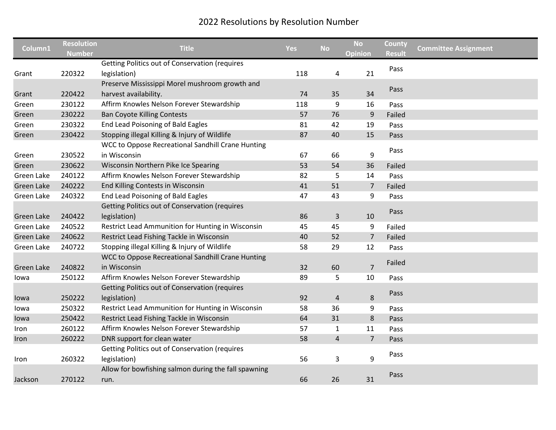| Column1    | <b>Resolution</b><br><b>Number</b> | <b>Title</b>                                          | <b>Yes</b> | <b>No</b>      | <b>No</b><br>Opinion | County<br><b>Result</b> | <b>Committee Assignment</b> |
|------------|------------------------------------|-------------------------------------------------------|------------|----------------|----------------------|-------------------------|-----------------------------|
|            |                                    | <b>Getting Politics out of Conservation (requires</b> |            |                |                      | Pass                    |                             |
| Grant      | 220322                             | legislation)                                          | 118        | 4              | 21                   |                         |                             |
|            |                                    | Preserve Mississippi Morel mushroom growth and        |            |                |                      | Pass                    |                             |
| Grant      | 220422                             | harvest availability.                                 | 74         | 35             | 34                   |                         |                             |
| Green      | 230122                             | Affirm Knowles Nelson Forever Stewardship             | 118        | 9              | 16                   | Pass                    |                             |
| Green      | 230222                             | <b>Ban Coyote Killing Contests</b>                    | 57         | 76             | $9\,$                | Failed                  |                             |
| Green      | 230322                             | End Lead Poisoning of Bald Eagles                     | 81         | 42             | 19                   | Pass                    |                             |
| Green      | 230422                             | Stopping illegal Killing & Injury of Wildlife         | 87         | 40             | 15                   | Pass                    |                             |
|            |                                    | WCC to Oppose Recreational Sandhill Crane Hunting     |            |                |                      | Pass                    |                             |
| Green      | 230522                             | in Wisconsin                                          | 67         | 66             | 9                    |                         |                             |
| Green      | 230622                             | Wisconsin Northern Pike Ice Spearing                  | 53         | 54             | 36                   | Failed                  |                             |
| Green Lake | 240122                             | Affirm Knowles Nelson Forever Stewardship             | 82         | 5              | 14                   | Pass                    |                             |
| Green Lake | 240222                             | End Killing Contests in Wisconsin                     | 41         | 51             | $\overline{7}$       | Failed                  |                             |
| Green Lake | 240322                             | End Lead Poisoning of Bald Eagles                     | 47         | 43             | 9                    | Pass                    |                             |
|            |                                    | <b>Getting Politics out of Conservation (requires</b> |            |                |                      |                         |                             |
| Green Lake | 240422                             | legislation)                                          | 86         | 3              | 10                   | Pass                    |                             |
| Green Lake | 240522                             | Restrict Lead Ammunition for Hunting in Wisconsin     | 45         | 45             | 9                    | Failed                  |                             |
| Green Lake | 240622                             | Restrict Lead Fishing Tackle in Wisconsin             | 40         | 52             | $\overline{7}$       | Failed                  |                             |
| Green Lake | 240722                             | Stopping illegal Killing & Injury of Wildlife         | 58         | 29             | 12                   | Pass                    |                             |
|            |                                    | WCC to Oppose Recreational Sandhill Crane Hunting     |            |                |                      |                         |                             |
| Green Lake | 240822                             | in Wisconsin                                          | 32         | 60             | $\overline{7}$       | Failed                  |                             |
| lowa       | 250122                             | Affirm Knowles Nelson Forever Stewardship             | 89         | 5              | 10                   | Pass                    |                             |
|            |                                    | <b>Getting Politics out of Conservation (requires</b> |            |                |                      |                         |                             |
| lowa       | 250222                             | legislation)                                          | 92         | 4              | 8                    | Pass                    |                             |
| lowa       | 250322                             | Restrict Lead Ammunition for Hunting in Wisconsin     | 58         | 36             | 9                    | Pass                    |                             |
| lowa       | 250422                             | Restrict Lead Fishing Tackle in Wisconsin             | 64         | 31             | 8                    | Pass                    |                             |
| Iron       | 260122                             | Affirm Knowles Nelson Forever Stewardship             | 57         | 1              | 11                   | Pass                    |                             |
| Iron       | 260222                             | DNR support for clean water                           | 58         | $\overline{a}$ | $\overline{7}$       | Pass                    |                             |
|            |                                    | <b>Getting Politics out of Conservation (requires</b> |            |                |                      |                         |                             |
| Iron       | 260322                             | legislation)                                          | 56         | 3              | 9                    | Pass                    |                             |
|            |                                    | Allow for bowfishing salmon during the fall spawning  |            |                |                      |                         |                             |
| Jackson    | 270122                             | run.                                                  | 66         | 26             | 31                   | Pass                    |                             |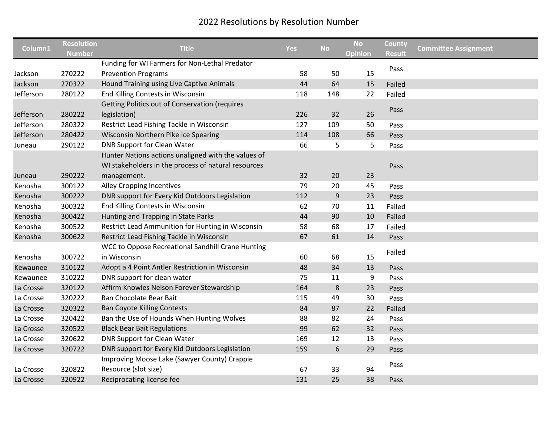| Column1   | <b>Resolution</b><br><b>Number</b> | <b>Title</b>                                          | <b>Yes</b> | <b>No</b>        | <b>No</b><br>Opinion | County<br><b>Result</b> | <b>Committee Assignment</b> |
|-----------|------------------------------------|-------------------------------------------------------|------------|------------------|----------------------|-------------------------|-----------------------------|
|           |                                    | Funding for WI Farmers for Non-Lethal Predator        |            |                  |                      |                         |                             |
| Jackson   | 270222                             | <b>Prevention Programs</b>                            | 58         | 50               | 15                   | Pass                    |                             |
| Jackson   | 270322                             | Hound Training using Live Captive Animals             | 44         | 64               | 15                   | Failed                  |                             |
| Jefferson | 280122                             | End Killing Contests in Wisconsin                     | 118        | 148              | 22                   | Failed                  |                             |
|           |                                    | <b>Getting Politics out of Conservation (requires</b> |            |                  |                      |                         |                             |
| Jefferson | 280222                             | legislation)                                          | 226        | 32               | 26                   | Pass                    |                             |
| Jefferson | 280322                             | Restrict Lead Fishing Tackle in Wisconsin             | 127        | 109              | 50                   | Pass                    |                             |
| Jefferson | 280422                             | Wisconsin Northern Pike Ice Spearing                  | 114        | 108              | 66                   | Pass                    |                             |
| Juneau    | 290122                             | <b>DNR Support for Clean Water</b>                    | 66         | 5                | 5                    | Pass                    |                             |
|           |                                    | Hunter Nations actions unaligned with the values of   |            |                  |                      |                         |                             |
|           |                                    | WI stakeholders in the process of natural resources   |            |                  |                      | Pass                    |                             |
| Juneau    | 290222                             | management.                                           | 32         | 20               | 23                   |                         |                             |
| Kenosha   | 300122                             | Alley Cropping Incentives                             | 79         | 20               | 45                   | Pass                    |                             |
| Kenosha   | 300222                             | DNR support for Every Kid Outdoors Legislation        | 112        | $\boldsymbol{9}$ | 23                   | Pass                    |                             |
| Kenosha   | 300322                             | End Killing Contests in Wisconsin                     | 62         | 70               | 11                   | Failed                  |                             |
| Kenosha   | 300422                             | Hunting and Trapping in State Parks                   | 44         | 90               | 10                   | Failed                  |                             |
| Kenosha   | 300522                             | Restrict Lead Ammunition for Hunting in Wisconsin     | 58         | 68               | 17                   | Failed                  |                             |
| Kenosha   | 300622                             | Restrict Lead Fishing Tackle in Wisconsin             | 67         | 61               | 14                   | Pass                    |                             |
|           |                                    | WCC to Oppose Recreational Sandhill Crane Hunting     |            |                  |                      |                         |                             |
| Kenosha   | 300722                             | in Wisconsin                                          | 60         | 68               | 15                   | Failed                  |                             |
| Kewaunee  | 310122                             | Adopt a 4 Point Antler Restriction in Wisconsin       | 48         | 34               | 13                   | Pass                    |                             |
| Kewaunee  | 310222                             | DNR support for clean water                           | 75         | 11               | 9                    | Pass                    |                             |
| La Crosse | 320122                             | Affirm Knowles Nelson Forever Stewardship             | 164        | $\bf 8$          | 23                   | Pass                    |                             |
| La Crosse | 320222                             | Ban Chocolate Bear Bait                               | 115        | 49               | 30                   | Pass                    |                             |
| La Crosse | 320322                             | <b>Ban Coyote Killing Contests</b>                    | 84         | 87               | 22                   | Failed                  |                             |
| La Crosse | 320422                             | Ban the Use of Hounds When Hunting Wolves             | 88         | 82               | 24                   | Pass                    |                             |
| La Crosse | 320522                             | <b>Black Bear Bait Regulations</b>                    | 99         | 62               | 32                   | Pass                    |                             |
| La Crosse | 320622                             | <b>DNR Support for Clean Water</b>                    | 169        | 12               | 13                   | Pass                    |                             |
| La Crosse | 320722                             | DNR support for Every Kid Outdoors Legislation        | 159        | 6                | 29                   | Pass                    |                             |
|           |                                    | Improving Moose Lake (Sawyer County) Crappie          |            |                  |                      |                         |                             |
| La Crosse | 320822                             | Resource (slot size)                                  | 67         | 33               | 94                   | Pass                    |                             |
| La Crosse | 320922                             | Reciprocating license fee                             | 131        | 25               | 38                   | Pass                    |                             |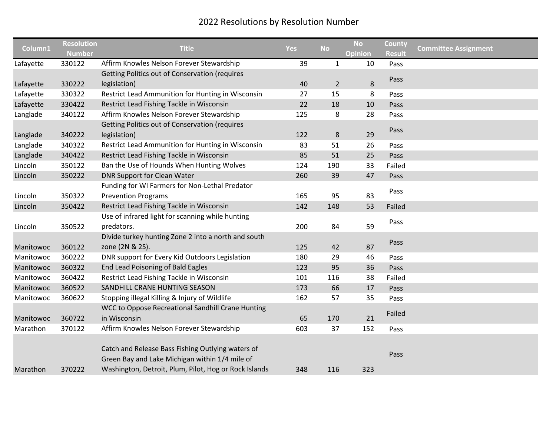| Column1   | <b>Resolution</b><br><b>Number</b> | <b>Title</b>                                          | <b>Yes</b> | <b>No</b>      | <b>No</b><br><b>Opinion</b> | <b>County</b><br><b>Result</b> | <b>Committee Assignment</b> |
|-----------|------------------------------------|-------------------------------------------------------|------------|----------------|-----------------------------|--------------------------------|-----------------------------|
| Lafayette | 330122                             | Affirm Knowles Nelson Forever Stewardship             | 39         | $\mathbf{1}$   | 10                          | Pass                           |                             |
|           |                                    | <b>Getting Politics out of Conservation (requires</b> |            |                |                             |                                |                             |
| Lafayette | 330222                             | legislation)                                          | 40         | $\overline{2}$ | 8                           | Pass                           |                             |
| Lafayette | 330322                             | Restrict Lead Ammunition for Hunting in Wisconsin     | 27         | 15             | 8                           | Pass                           |                             |
| Lafayette | 330422                             | Restrict Lead Fishing Tackle in Wisconsin             | 22         | 18             | 10                          | Pass                           |                             |
| Langlade  | 340122                             | Affirm Knowles Nelson Forever Stewardship             | 125        | 8              | 28                          | Pass                           |                             |
|           |                                    | Getting Politics out of Conservation (requires        |            |                |                             |                                |                             |
| Langlade  | 340222                             | legislation)                                          | 122        | $\bf 8$        | 29                          | Pass                           |                             |
| Langlade  | 340322                             | Restrict Lead Ammunition for Hunting in Wisconsin     | 83         | 51             | 26                          | Pass                           |                             |
| Langlade  | 340422                             | Restrict Lead Fishing Tackle in Wisconsin             | 85         | 51             | 25                          | Pass                           |                             |
| Lincoln   | 350122                             | Ban the Use of Hounds When Hunting Wolves             | 124        | 190            | 33                          | Failed                         |                             |
| Lincoln   | 350222                             | <b>DNR Support for Clean Water</b>                    | 260        | 39             | 47                          | Pass                           |                             |
|           |                                    | Funding for WI Farmers for Non-Lethal Predator        |            |                |                             |                                |                             |
| Lincoln   | 350322                             | <b>Prevention Programs</b>                            | 165        | 95             | 83                          | Pass                           |                             |
| Lincoln   | 350422                             | Restrict Lead Fishing Tackle in Wisconsin             | 142        | 148            | 53                          | Failed                         |                             |
|           |                                    | Use of infrared light for scanning while hunting      |            |                |                             |                                |                             |
| Lincoln   | 350522                             | predators.                                            | 200        | 84             | 59                          | Pass                           |                             |
|           |                                    | Divide turkey hunting Zone 2 into a north and south   |            |                |                             |                                |                             |
| Manitowoc | 360122                             | zone (2N & 2S).                                       | 125        | 42             | 87                          | Pass                           |                             |
| Manitowoc | 360222                             | DNR support for Every Kid Outdoors Legislation        | 180        | 29             | 46                          | Pass                           |                             |
| Manitowoc | 360322                             | End Lead Poisoning of Bald Eagles                     | 123        | 95             | 36                          | Pass                           |                             |
| Manitowoc | 360422                             | Restrict Lead Fishing Tackle in Wisconsin             | 101        | 116            | 38                          | Failed                         |                             |
| Manitowoc | 360522                             | SANDHILL CRANE HUNTING SEASON                         | 173        | 66             | 17                          | Pass                           |                             |
| Manitowoc | 360622                             | Stopping illegal Killing & Injury of Wildlife         | 162        | 57             | 35                          | Pass                           |                             |
|           |                                    | WCC to Oppose Recreational Sandhill Crane Hunting     |            |                |                             | Failed                         |                             |
| Manitowoc | 360722                             | in Wisconsin                                          | 65         | 170            | 21                          |                                |                             |
| Marathon  | 370122                             | Affirm Knowles Nelson Forever Stewardship             | 603        | 37             | 152                         | Pass                           |                             |
|           |                                    |                                                       |            |                |                             |                                |                             |
|           |                                    | Catch and Release Bass Fishing Outlying waters of     |            |                |                             | Pass                           |                             |
|           |                                    | Green Bay and Lake Michigan within 1/4 mile of        |            |                |                             |                                |                             |
| Marathon  | 370222                             | Washington, Detroit, Plum, Pilot, Hog or Rock Islands | 348        | 116            | 323                         |                                |                             |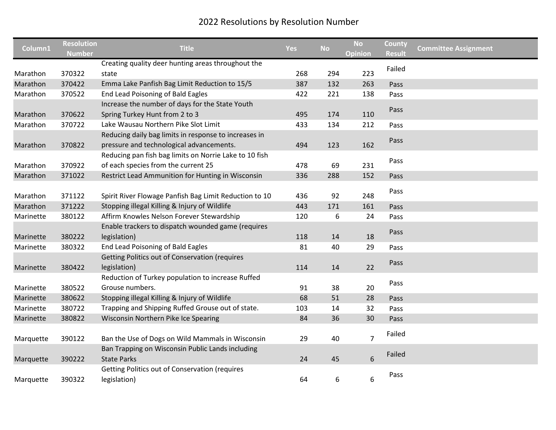| Column1   | <b>Resolution</b> | <b>Title</b>                                           | Yes | <b>No</b> | <b>No</b>        | County        | <b>Committee Assignment</b> |
|-----------|-------------------|--------------------------------------------------------|-----|-----------|------------------|---------------|-----------------------------|
|           | <b>Number</b>     |                                                        |     |           | <b>Opinion</b>   | <b>Result</b> |                             |
|           |                   | Creating quality deer hunting areas throughout the     |     |           |                  | Failed        |                             |
| Marathon  | 370322            | state                                                  | 268 | 294       | 223              |               |                             |
| Marathon  | 370422            | Emma Lake Panfish Bag Limit Reduction to 15/5          | 387 | 132       | 263              | Pass          |                             |
| Marathon  | 370522            | End Lead Poisoning of Bald Eagles                      | 422 | 221       | 138              | Pass          |                             |
|           |                   | Increase the number of days for the State Youth        |     |           |                  | Pass          |                             |
| Marathon  | 370622            | Spring Turkey Hunt from 2 to 3                         | 495 | 174       | 110              |               |                             |
| Marathon  | 370722            | Lake Wausau Northern Pike Slot Limit                   | 433 | 134       | 212              | Pass          |                             |
|           |                   | Reducing daily bag limits in response to increases in  |     |           |                  | Pass          |                             |
| Marathon  | 370822            | pressure and technological advancements.               | 494 | 123       | 162              |               |                             |
|           |                   | Reducing pan fish bag limits on Norrie Lake to 10 fish |     |           |                  |               |                             |
| Marathon  | 370922            | of each species from the current 25                    | 478 | 69        | 231              | Pass          |                             |
| Marathon  | 371022            | Restrict Lead Ammunition for Hunting in Wisconsin      | 336 | 288       | 152              | Pass          |                             |
|           |                   |                                                        |     |           |                  |               |                             |
| Marathon  | 371122            | Spirit River Flowage Panfish Bag Limit Reduction to 10 | 436 | 92        | 248              | Pass          |                             |
| Marathon  | 371222            | Stopping illegal Killing & Injury of Wildlife          | 443 | 171       | 161              | Pass          |                             |
| Marinette | 380122            | Affirm Knowles Nelson Forever Stewardship              | 120 | 6         | 24               | Pass          |                             |
|           |                   | Enable trackers to dispatch wounded game (requires     |     |           |                  |               |                             |
| Marinette | 380222            | legislation)                                           | 118 | 14        | 18               | Pass          |                             |
| Marinette | 380322            | <b>End Lead Poisoning of Bald Eagles</b>               | 81  | 40        | 29               | Pass          |                             |
|           |                   | Getting Politics out of Conservation (requires         |     |           |                  |               |                             |
| Marinette | 380422            | legislation)                                           | 114 | 14        | 22               | Pass          |                             |
|           |                   | Reduction of Turkey population to increase Ruffed      |     |           |                  |               |                             |
| Marinette | 380522            | Grouse numbers.                                        | 91  | 38        | 20               | Pass          |                             |
| Marinette | 380622            | Stopping illegal Killing & Injury of Wildlife          | 68  | 51        | 28               | Pass          |                             |
| Marinette | 380722            | Trapping and Shipping Ruffed Grouse out of state.      | 103 | 14        | 32               | Pass          |                             |
| Marinette | 380822            | Wisconsin Northern Pike Ice Spearing                   | 84  | 36        | 30               | Pass          |                             |
|           |                   |                                                        |     |           |                  |               |                             |
| Marquette | 390122            | Ban the Use of Dogs on Wild Mammals in Wisconsin       | 29  | 40        | $\overline{7}$   | Failed        |                             |
|           |                   | Ban Trapping on Wisconsin Public Lands including       |     |           |                  |               |                             |
| Marquette | 390222            | <b>State Parks</b>                                     | 24  | 45        | $\boldsymbol{6}$ | Failed        |                             |
|           |                   | <b>Getting Politics out of Conservation (requires</b>  |     |           |                  |               |                             |
| Marquette | 390322            | legislation)                                           | 64  | 6         | 6                | Pass          |                             |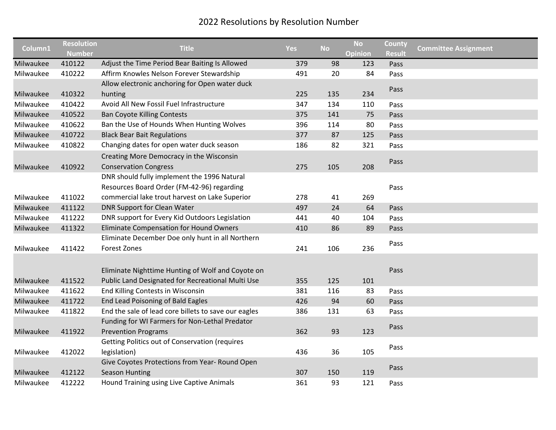| Column1   | <b>Resolution</b> | <b>Title</b>                                          |     | <b>No</b> | <b>No</b>      | County        |                             |
|-----------|-------------------|-------------------------------------------------------|-----|-----------|----------------|---------------|-----------------------------|
|           | <b>Number</b>     |                                                       | Yes |           | <b>Opinion</b> | <b>Result</b> | <b>Committee Assignment</b> |
| Milwaukee | 410122            | Adjust the Time Period Bear Baiting Is Allowed        | 379 | 98        | 123            | Pass          |                             |
| Milwaukee | 410222            | Affirm Knowles Nelson Forever Stewardship             | 491 | 20        | 84             | Pass          |                             |
|           |                   | Allow electronic anchoring for Open water duck        |     |           |                | Pass          |                             |
| Milwaukee | 410322            | hunting                                               | 225 | 135       | 234            |               |                             |
| Milwaukee | 410422            | Avoid All New Fossil Fuel Infrastructure              | 347 | 134       | 110            | Pass          |                             |
| Milwaukee | 410522            | <b>Ban Coyote Killing Contests</b>                    | 375 | 141       | 75             | Pass          |                             |
| Milwaukee | 410622            | Ban the Use of Hounds When Hunting Wolves             | 396 | 114       | 80             | Pass          |                             |
| Milwaukee | 410722            | <b>Black Bear Bait Regulations</b>                    | 377 | 87        | 125            | Pass          |                             |
| Milwaukee | 410822            | Changing dates for open water duck season             | 186 | 82        | 321            | Pass          |                             |
|           |                   | Creating More Democracy in the Wisconsin              |     |           |                |               |                             |
| Milwaukee | 410922            | <b>Conservation Congress</b>                          | 275 | 105       | 208            | Pass          |                             |
|           |                   | DNR should fully implement the 1996 Natural           |     |           |                |               |                             |
|           |                   | Resources Board Order (FM-42-96) regarding            |     |           |                | Pass          |                             |
| Milwaukee | 411022            | commercial lake trout harvest on Lake Superior        | 278 | 41        | 269            |               |                             |
| Milwaukee | 411122            | DNR Support for Clean Water                           | 497 | 24        | 64             | Pass          |                             |
| Milwaukee | 411222            | DNR support for Every Kid Outdoors Legislation        | 441 | 40        | 104            | Pass          |                             |
| Milwaukee | 411322            | Eliminate Compensation for Hound Owners               | 410 | 86        | 89             | Pass          |                             |
|           |                   | Eliminate December Doe only hunt in all Northern      |     |           |                |               |                             |
| Milwaukee | 411422            | <b>Forest Zones</b>                                   | 241 | 106       | 236            | Pass          |                             |
|           |                   |                                                       |     |           |                |               |                             |
|           |                   | Eliminate Nighttime Hunting of Wolf and Coyote on     |     |           |                | Pass          |                             |
| Milwaukee | 411522            | Public Land Designated for Recreational Multi Use     | 355 | 125       | 101            |               |                             |
| Milwaukee | 411622            | End Killing Contests in Wisconsin                     | 381 | 116       | 83             | Pass          |                             |
| Milwaukee | 411722            | End Lead Poisoning of Bald Eagles                     | 426 | 94        | 60             | Pass          |                             |
| Milwaukee | 411822            | End the sale of lead core billets to save our eagles  | 386 | 131       | 63             | Pass          |                             |
|           |                   | Funding for WI Farmers for Non-Lethal Predator        |     |           |                |               |                             |
| Milwaukee | 411922            | <b>Prevention Programs</b>                            | 362 | 93        | 123            | Pass          |                             |
|           |                   | <b>Getting Politics out of Conservation (requires</b> |     |           |                |               |                             |
| Milwaukee | 412022            | legislation)                                          | 436 | 36        | 105            | Pass          |                             |
|           |                   | Give Coyotes Protections from Year- Round Open        |     |           |                |               |                             |
| Milwaukee | 412122            | <b>Season Hunting</b>                                 | 307 | 150       | 119            | Pass          |                             |
| Milwaukee | 412222            | Hound Training using Live Captive Animals             | 361 | 93        | 121            | Pass          |                             |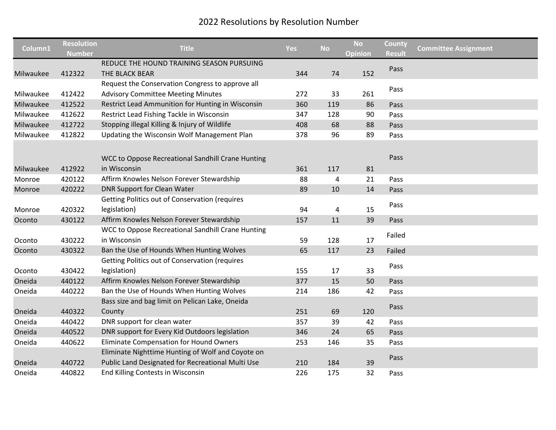|           | <b>Resolution</b> |                                                       |            |           | <b>No</b> | County        |                             |
|-----------|-------------------|-------------------------------------------------------|------------|-----------|-----------|---------------|-----------------------------|
| Column1   | <b>Number</b>     | <b>Title</b>                                          | <b>Yes</b> | <b>No</b> | Opinion   | <b>Result</b> | <b>Committee Assignment</b> |
|           |                   | REDUCE THE HOUND TRAINING SEASON PURSUING             |            |           |           | Pass          |                             |
| Milwaukee | 412322            | THE BLACK BEAR                                        | 344        | 74        | 152       |               |                             |
|           |                   | Request the Conservation Congress to approve all      |            |           |           | Pass          |                             |
| Milwaukee | 412422            | <b>Advisory Committee Meeting Minutes</b>             | 272        | 33        | 261       |               |                             |
| Milwaukee | 412522            | Restrict Lead Ammunition for Hunting in Wisconsin     | 360        | 119       | 86        | Pass          |                             |
| Milwaukee | 412622            | Restrict Lead Fishing Tackle in Wisconsin             | 347        | 128       | 90        | Pass          |                             |
| Milwaukee | 412722            | Stopping illegal Killing & Injury of Wildlife         | 408        | 68        | 88        | Pass          |                             |
| Milwaukee | 412822            | Updating the Wisconsin Wolf Management Plan           | 378        | 96        | 89        | Pass          |                             |
|           |                   |                                                       |            |           |           |               |                             |
|           |                   | WCC to Oppose Recreational Sandhill Crane Hunting     |            |           |           | Pass          |                             |
| Milwaukee | 412922            | in Wisconsin                                          | 361        | 117       | 81        |               |                             |
| Monroe    | 420122            | Affirm Knowles Nelson Forever Stewardship             | 88         | 4         | 21        | Pass          |                             |
| Monroe    | 420222            | <b>DNR Support for Clean Water</b>                    | 89         | 10        | 14        | Pass          |                             |
|           |                   | <b>Getting Politics out of Conservation (requires</b> |            |           |           |               |                             |
| Monroe    | 420322            | legislation)                                          | 94         | 4         | 15        | Pass          |                             |
| Oconto    | 430122            | Affirm Knowles Nelson Forever Stewardship             | 157        | 11        | 39        | Pass          |                             |
|           |                   | WCC to Oppose Recreational Sandhill Crane Hunting     |            |           |           |               |                             |
| Oconto    | 430222            | in Wisconsin                                          | 59         | 128       | 17        | Failed        |                             |
| Oconto    | 430322            | Ban the Use of Hounds When Hunting Wolves             | 65         | 117       | 23        | Failed        |                             |
|           |                   | <b>Getting Politics out of Conservation (requires</b> |            |           |           |               |                             |
| Oconto    | 430422            | legislation)                                          | 155        | 17        | 33        | Pass          |                             |
| Oneida    | 440122            | Affirm Knowles Nelson Forever Stewardship             | 377        | 15        | 50        | Pass          |                             |
| Oneida    | 440222            | Ban the Use of Hounds When Hunting Wolves             | 214        | 186       | 42        | Pass          |                             |
|           |                   | Bass size and bag limit on Pelican Lake, Oneida       |            |           |           |               |                             |
| Oneida    | 440322            | County                                                | 251        | 69        | 120       | Pass          |                             |
| Oneida    | 440422            | DNR support for clean water                           | 357        | 39        | 42        | Pass          |                             |
| Oneida    | 440522            | DNR support for Every Kid Outdoors legislation        | 346        | 24        | 65        | Pass          |                             |
| Oneida    | 440622            | Eliminate Compensation for Hound Owners               | 253        | 146       | 35        | Pass          |                             |
|           |                   | Eliminate Nighttime Hunting of Wolf and Coyote on     |            |           |           |               |                             |
| Oneida    | 440722            | Public Land Designated for Recreational Multi Use     | 210        | 184       | 39        | Pass          |                             |
| Oneida    | 440822            | End Killing Contests in Wisconsin                     | 226        | 175       | 32        | Pass          |                             |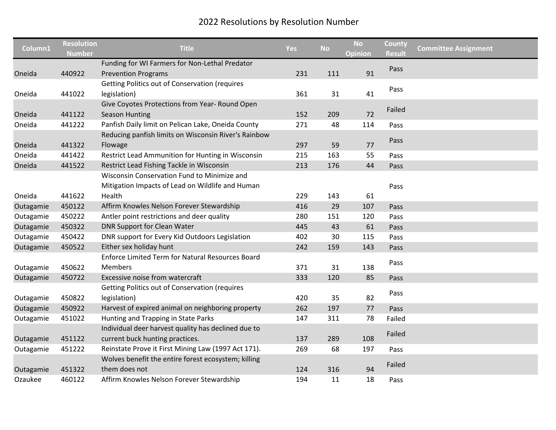|           | <b>Resolution</b> |                                                         |            |           | <b>No</b>      | County        |                             |
|-----------|-------------------|---------------------------------------------------------|------------|-----------|----------------|---------------|-----------------------------|
| Column1   | <b>Number</b>     | <b>Title</b>                                            | <b>Yes</b> | <b>No</b> | <b>Opinion</b> | <b>Result</b> | <b>Committee Assignment</b> |
|           |                   | Funding for WI Farmers for Non-Lethal Predator          |            |           |                | Pass          |                             |
| Oneida    | 440922            | <b>Prevention Programs</b>                              | 231        | 111       | 91             |               |                             |
|           |                   | Getting Politics out of Conservation (requires          |            |           |                | Pass          |                             |
| Oneida    | 441022            | legislation)                                            | 361        | 31        | 41             |               |                             |
|           |                   | Give Coyotes Protections from Year- Round Open          |            |           |                | Failed        |                             |
| Oneida    | 441122            | <b>Season Hunting</b>                                   | 152        | 209       | 72             |               |                             |
| Oneida    | 441222            | Panfish Daily limit on Pelican Lake, Oneida County      | 271        | 48        | 114            | Pass          |                             |
|           |                   | Reducing panfish limits on Wisconsin River's Rainbow    |            |           |                |               |                             |
| Oneida    | 441322            | Flowage                                                 | 297        | 59        | 77             | Pass          |                             |
| Oneida    | 441422            | Restrict Lead Ammunition for Hunting in Wisconsin       | 215        | 163       | 55             | Pass          |                             |
| Oneida    | 441522            | Restrict Lead Fishing Tackle in Wisconsin               | 213        | 176       | 44             | Pass          |                             |
|           |                   | Wisconsin Conservation Fund to Minimize and             |            |           |                |               |                             |
|           |                   | Mitigation Impacts of Lead on Wildlife and Human        |            |           |                | Pass          |                             |
| Oneida    | 441622            | Health                                                  | 229        | 143       | 61             |               |                             |
| Outagamie | 450122            | Affirm Knowles Nelson Forever Stewardship               | 416        | 29        | 107            | Pass          |                             |
| Outagamie | 450222            | Antler point restrictions and deer quality              | 280        | 151       | 120            | Pass          |                             |
| Outagamie | 450322            | <b>DNR Support for Clean Water</b>                      | 445        | 43        | 61             | Pass          |                             |
| Outagamie | 450422            | DNR support for Every Kid Outdoors Legislation          | 402        | 30        | 115            | Pass          |                             |
| Outagamie | 450522            | Either sex holiday hunt                                 | 242        | 159       | 143            | Pass          |                             |
|           |                   | <b>Enforce Limited Term for Natural Resources Board</b> |            |           |                |               |                             |
| Outagamie | 450622            | <b>Members</b>                                          | 371        | 31        | 138            | Pass          |                             |
| Outagamie | 450722            | Excessive noise from watercraft                         | 333        | 120       | 85             | Pass          |                             |
|           |                   | Getting Politics out of Conservation (requires          |            |           |                |               |                             |
| Outagamie | 450822            | legislation)                                            | 420        | 35        | 82             | Pass          |                             |
| Outagamie | 450922            | Harvest of expired animal on neighboring property       | 262        | 197       | 77             | Pass          |                             |
| Outagamie | 451022            | Hunting and Trapping in State Parks                     | 147        | 311       | 78             | Failed        |                             |
|           |                   | Individual deer harvest quality has declined due to     |            |           |                |               |                             |
| Outagamie | 451122            | current buck hunting practices.                         | 137        | 289       | 108            | Failed        |                             |
| Outagamie | 451222            | Reinstate Prove it First Mining Law (1997 Act 171).     | 269        | 68        | 197            | Pass          |                             |
|           |                   | Wolves benefit the entire forest ecosystem; killing     |            |           |                |               |                             |
| Outagamie | 451322            | them does not                                           | 124        | 316       | 94             | Failed        |                             |
| Ozaukee   | 460122            | Affirm Knowles Nelson Forever Stewardship               | 194        | 11        | 18             | Pass          |                             |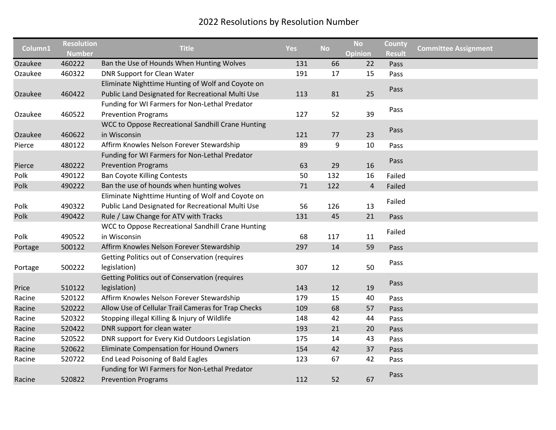|         | <b>Resolution</b> |                                                       |            |           | <b>No</b>      | County        |                             |
|---------|-------------------|-------------------------------------------------------|------------|-----------|----------------|---------------|-----------------------------|
| Column1 | <b>Number</b>     | <b>Title</b>                                          | <b>Yes</b> | <b>No</b> | <b>Opinion</b> | <b>Result</b> | <b>Committee Assignment</b> |
| Ozaukee | 460222            | Ban the Use of Hounds When Hunting Wolves             | 131        | 66        | 22             | Pass          |                             |
| Ozaukee | 460322            | DNR Support for Clean Water                           | 191        | 17        | 15             | Pass          |                             |
|         |                   | Eliminate Nighttime Hunting of Wolf and Coyote on     |            |           |                |               |                             |
| Ozaukee | 460422            | Public Land Designated for Recreational Multi Use     | 113        | 81        | 25             | Pass          |                             |
|         |                   | Funding for WI Farmers for Non-Lethal Predator        |            |           |                | Pass          |                             |
| Ozaukee | 460522            | <b>Prevention Programs</b>                            | 127        | 52        | 39             |               |                             |
|         |                   | WCC to Oppose Recreational Sandhill Crane Hunting     |            |           |                |               |                             |
| Ozaukee | 460622            | in Wisconsin                                          | 121        | 77        | 23             | Pass          |                             |
| Pierce  | 480122            | Affirm Knowles Nelson Forever Stewardship             | 89         | 9         | 10             | Pass          |                             |
|         |                   | Funding for WI Farmers for Non-Lethal Predator        |            |           |                |               |                             |
| Pierce  | 480222            | <b>Prevention Programs</b>                            | 63         | 29        | 16             | Pass          |                             |
| Polk    | 490122            | <b>Ban Coyote Killing Contests</b>                    | 50         | 132       | 16             | Failed        |                             |
| Polk    | 490222            | Ban the use of hounds when hunting wolves             | 71         | 122       | $\sqrt{4}$     | Failed        |                             |
|         |                   | Eliminate Nighttime Hunting of Wolf and Coyote on     |            |           |                |               |                             |
| Polk    | 490322            | Public Land Designated for Recreational Multi Use     | 56         | 126       | 13             | Failed        |                             |
| Polk    | 490422            | Rule / Law Change for ATV with Tracks                 | 131        | 45        | 21             | Pass          |                             |
|         |                   | WCC to Oppose Recreational Sandhill Crane Hunting     |            |           |                |               |                             |
| Polk    | 490522            | in Wisconsin                                          | 68         | 117       | 11             | Failed        |                             |
| Portage | 500122            | Affirm Knowles Nelson Forever Stewardship             | 297        | 14        | 59             | Pass          |                             |
|         |                   | <b>Getting Politics out of Conservation (requires</b> |            |           |                |               |                             |
| Portage | 500222            | legislation)                                          | 307        | 12        | 50             | Pass          |                             |
|         |                   | Getting Politics out of Conservation (requires        |            |           |                |               |                             |
| Price   | 510122            | legislation)                                          | 143        | 12        | 19             | Pass          |                             |
| Racine  | 520122            | Affirm Knowles Nelson Forever Stewardship             | 179        | 15        | 40             | Pass          |                             |
| Racine  | 520222            | Allow Use of Cellular Trail Cameras for Trap Checks   | 109        | 68        | 57             | Pass          |                             |
| Racine  | 520322            | Stopping illegal Killing & Injury of Wildlife         | 148        | 42        | 44             | Pass          |                             |
| Racine  | 520422            | DNR support for clean water                           | 193        | 21        | 20             | Pass          |                             |
| Racine  | 520522            | DNR support for Every Kid Outdoors Legislation        | 175        | 14        | 43             | Pass          |                             |
| Racine  | 520622            | Eliminate Compensation for Hound Owners               | 154        | 42        | 37             | Pass          |                             |
| Racine  | 520722            | End Lead Poisoning of Bald Eagles                     | 123        | 67        | 42             | Pass          |                             |
|         |                   | Funding for WI Farmers for Non-Lethal Predator        |            |           |                |               |                             |
| Racine  | 520822            | <b>Prevention Programs</b>                            | 112        | 52        | 67             | Pass          |                             |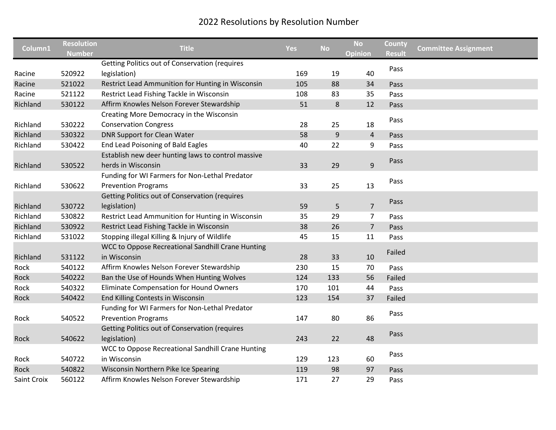| Column1     | <b>Resolution</b><br><b>Number</b> | <b>Title</b>                                          | <b>Yes</b> | <b>No</b> | <b>No</b><br><b>Opinion</b> | County<br><b>Result</b> | <b>Committee Assignment</b> |
|-------------|------------------------------------|-------------------------------------------------------|------------|-----------|-----------------------------|-------------------------|-----------------------------|
|             |                                    | <b>Getting Politics out of Conservation (requires</b> |            |           |                             | Pass                    |                             |
| Racine      | 520922                             | legislation)                                          | 169        | 19        | 40                          |                         |                             |
| Racine      | 521022                             | Restrict Lead Ammunition for Hunting in Wisconsin     | 105        | 88        | 34                          | Pass                    |                             |
| Racine      | 521122                             | Restrict Lead Fishing Tackle in Wisconsin             | 108        | 83        | 35                          | Pass                    |                             |
| Richland    | 530122                             | Affirm Knowles Nelson Forever Stewardship             | 51         | $\bf 8$   | 12                          | Pass                    |                             |
|             |                                    | Creating More Democracy in the Wisconsin              |            |           |                             |                         |                             |
| Richland    | 530222                             | <b>Conservation Congress</b>                          | 28         | 25        | 18                          | Pass                    |                             |
| Richland    | 530322                             | <b>DNR Support for Clean Water</b>                    | 58         | 9         | $\overline{4}$              | Pass                    |                             |
| Richland    | 530422                             | End Lead Poisoning of Bald Eagles                     | 40         | 22        | 9                           | Pass                    |                             |
|             |                                    | Establish new deer hunting laws to control massive    |            |           |                             |                         |                             |
| Richland    | 530522                             | herds in Wisconsin                                    | 33         | 29        | 9                           | Pass                    |                             |
|             |                                    | Funding for WI Farmers for Non-Lethal Predator        |            |           |                             |                         |                             |
| Richland    | 530622                             | <b>Prevention Programs</b>                            | 33         | 25        | 13                          | Pass                    |                             |
|             |                                    | <b>Getting Politics out of Conservation (requires</b> |            |           |                             |                         |                             |
| Richland    | 530722                             | legislation)                                          | 59         | 5         | $\overline{7}$              | Pass                    |                             |
| Richland    | 530822                             | Restrict Lead Ammunition for Hunting in Wisconsin     | 35         | 29        | $\overline{7}$              | Pass                    |                             |
| Richland    | 530922                             | Restrict Lead Fishing Tackle in Wisconsin             | 38         | 26        | $\overline{7}$              | Pass                    |                             |
| Richland    | 531022                             | Stopping illegal Killing & Injury of Wildlife         | 45         | 15        | 11                          | Pass                    |                             |
|             |                                    | WCC to Oppose Recreational Sandhill Crane Hunting     |            |           |                             |                         |                             |
| Richland    | 531122                             | in Wisconsin                                          | 28         | 33        | 10                          | Failed                  |                             |
| Rock        | 540122                             | Affirm Knowles Nelson Forever Stewardship             | 230        | 15        | 70                          | Pass                    |                             |
| Rock        | 540222                             | Ban the Use of Hounds When Hunting Wolves             | 124        | 133       | 56                          | Failed                  |                             |
| Rock        | 540322                             | <b>Eliminate Compensation for Hound Owners</b>        | 170        | 101       | 44                          | Pass                    |                             |
| Rock        | 540422                             | End Killing Contests in Wisconsin                     | 123        | 154       | 37                          | Failed                  |                             |
|             |                                    | Funding for WI Farmers for Non-Lethal Predator        |            |           |                             |                         |                             |
| Rock        | 540522                             | <b>Prevention Programs</b>                            | 147        | 80        | 86                          | Pass                    |                             |
|             |                                    | <b>Getting Politics out of Conservation (requires</b> |            |           |                             |                         |                             |
| Rock        | 540622                             | legislation)                                          | 243        | 22        | 48                          | Pass                    |                             |
|             |                                    | WCC to Oppose Recreational Sandhill Crane Hunting     |            |           |                             |                         |                             |
| Rock        | 540722                             | in Wisconsin                                          | 129        | 123       | 60                          | Pass                    |                             |
| Rock        | 540822                             | Wisconsin Northern Pike Ice Spearing                  | 119        | 98        | 97                          | Pass                    |                             |
| Saint Croix | 560122                             | Affirm Knowles Nelson Forever Stewardship             | 171        | 27        | 29                          | Pass                    |                             |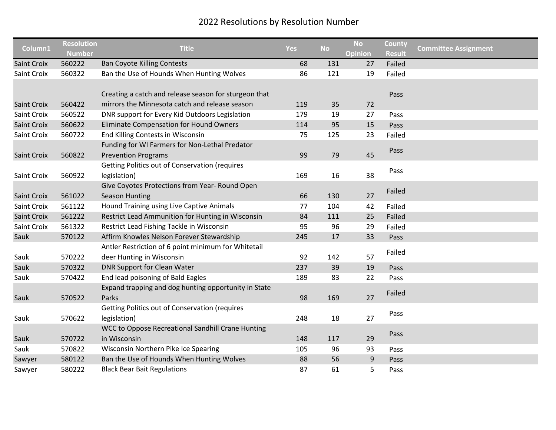| Column1            | <b>Resolution</b> | <b>Title</b>                                          | <b>Yes</b> | <b>No</b> | <b>No</b>      | County        | <b>Committee Assignment</b> |
|--------------------|-------------------|-------------------------------------------------------|------------|-----------|----------------|---------------|-----------------------------|
|                    | <b>Number</b>     |                                                       |            |           | <b>Opinion</b> | <b>Result</b> |                             |
| <b>Saint Croix</b> | 560222            | <b>Ban Coyote Killing Contests</b>                    | 68         | 131       | 27             | Failed        |                             |
| Saint Croix        | 560322            | Ban the Use of Hounds When Hunting Wolves             | 86         | 121       | 19             | Failed        |                             |
|                    |                   |                                                       |            |           |                |               |                             |
|                    |                   | Creating a catch and release season for sturgeon that |            |           |                | Pass          |                             |
| <b>Saint Croix</b> | 560422            | mirrors the Minnesota catch and release season        | 119        | 35        | 72             |               |                             |
| Saint Croix        | 560522            | DNR support for Every Kid Outdoors Legislation        | 179        | 19        | 27             | Pass          |                             |
| <b>Saint Croix</b> | 560622            | Eliminate Compensation for Hound Owners               | 114        | 95        | 15             | Pass          |                             |
| Saint Croix        | 560722            | End Killing Contests in Wisconsin                     | 75         | 125       | 23             | Failed        |                             |
|                    |                   | Funding for WI Farmers for Non-Lethal Predator        |            |           |                | Pass          |                             |
| Saint Croix        | 560822            | <b>Prevention Programs</b>                            | 99         | 79        | 45             |               |                             |
|                    |                   | <b>Getting Politics out of Conservation (requires</b> |            |           |                |               |                             |
| Saint Croix        | 560922            | legislation)                                          | 169        | 16        | 38             | Pass          |                             |
|                    |                   | Give Coyotes Protections from Year- Round Open        |            |           |                |               |                             |
| Saint Croix        | 561022            | Season Hunting                                        | 66         | 130       | 27             | Failed        |                             |
| Saint Croix        | 561122            | Hound Training using Live Captive Animals             | 77         | 104       | 42             | Failed        |                             |
| <b>Saint Croix</b> | 561222            | Restrict Lead Ammunition for Hunting in Wisconsin     | 84         | 111       | 25             | Failed        |                             |
| Saint Croix        | 561322            | Restrict Lead Fishing Tackle in Wisconsin             | 95         | 96        | 29             | Failed        |                             |
| Sauk               | 570122            | Affirm Knowles Nelson Forever Stewardship             | 245        | 17        | 33             | Pass          |                             |
|                    |                   | Antler Restriction of 6 point minimum for Whitetail   |            |           |                |               |                             |
| Sauk               | 570222            | deer Hunting in Wisconsin                             | 92         | 142       | 57             | Failed        |                             |
| Sauk               | 570322            | <b>DNR Support for Clean Water</b>                    | 237        | 39        | 19             | Pass          |                             |
| Sauk               | 570422            | End lead poisoning of Bald Eagles                     | 189        | 83        | 22             | Pass          |                             |
|                    |                   | Expand trapping and dog hunting opportunity in State  |            |           |                |               |                             |
| Sauk               | 570522            | Parks                                                 | 98         | 169       | 27             | Failed        |                             |
|                    |                   | <b>Getting Politics out of Conservation (requires</b> |            |           |                |               |                             |
| Sauk               | 570622            | legislation)                                          | 248        | 18        | 27             | Pass          |                             |
|                    |                   | WCC to Oppose Recreational Sandhill Crane Hunting     |            |           |                |               |                             |
| Sauk               | 570722            | in Wisconsin                                          | 148        | 117       | 29             | Pass          |                             |
| Sauk               | 570822            | Wisconsin Northern Pike Ice Spearing                  | 105        | 96        | 93             | Pass          |                             |
| Sawyer             | 580122            | Ban the Use of Hounds When Hunting Wolves             | 88         | 56        | 9              | Pass          |                             |
| Sawyer             | 580222            | <b>Black Bear Bait Regulations</b>                    | 87         | 61        | 5              | Pass          |                             |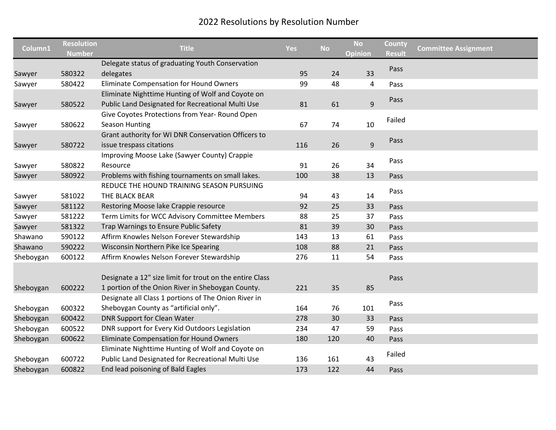| Column1   | <b>Resolution</b><br><b>Number</b> | <b>Title</b>                                                                                                  | <b>Yes</b> | <b>No</b> | <b>No</b><br><b>Opinion</b> | County<br><b>Result</b> | <b>Committee Assignment</b> |
|-----------|------------------------------------|---------------------------------------------------------------------------------------------------------------|------------|-----------|-----------------------------|-------------------------|-----------------------------|
|           |                                    | Delegate status of graduating Youth Conservation                                                              |            |           |                             | Pass                    |                             |
| Sawyer    | 580322                             | delegates                                                                                                     | 95         | 24        | 33                          |                         |                             |
| Sawyer    | 580422                             | <b>Eliminate Compensation for Hound Owners</b>                                                                | 99         | 48        | 4                           | Pass                    |                             |
|           |                                    | Eliminate Nighttime Hunting of Wolf and Coyote on                                                             |            |           |                             | Pass                    |                             |
| Sawyer    | 580522                             | Public Land Designated for Recreational Multi Use                                                             | 81         | 61        | $\mathsf g$                 |                         |                             |
|           |                                    | Give Coyotes Protections from Year- Round Open                                                                |            |           |                             | Failed                  |                             |
| Sawyer    | 580622                             | Season Hunting                                                                                                | 67         | 74        | 10                          |                         |                             |
|           |                                    | Grant authority for WI DNR Conservation Officers to                                                           |            |           |                             |                         |                             |
| Sawyer    | 580722                             | issue trespass citations                                                                                      | 116        | 26        | $\mathsf g$                 | Pass                    |                             |
|           |                                    | Improving Moose Lake (Sawyer County) Crappie                                                                  |            |           |                             |                         |                             |
| Sawyer    | 580822                             | Resource                                                                                                      | 91         | 26        | 34                          | Pass                    |                             |
| Sawyer    | 580922                             | Problems with fishing tournaments on small lakes.                                                             | 100        | 38        | 13                          | Pass                    |                             |
|           |                                    | REDUCE THE HOUND TRAINING SEASON PURSUING                                                                     |            |           |                             |                         |                             |
| Sawyer    | 581022                             | THE BLACK BEAR                                                                                                | 94         | 43        | 14                          | Pass                    |                             |
| Sawyer    | 581122                             | Restoring Moose lake Crappie resource                                                                         | 92         | 25        | 33                          | Pass                    |                             |
| Sawyer    | 581222                             | Term Limits for WCC Advisory Committee Members                                                                | 88         | 25        | 37                          | Pass                    |                             |
| Sawyer    | 581322                             | Trap Warnings to Ensure Public Safety                                                                         | 81         | 39        | 30                          | Pass                    |                             |
| Shawano   | 590122                             | Affirm Knowles Nelson Forever Stewardship                                                                     | 143        | 13        | 61                          | Pass                    |                             |
| Shawano   | 590222                             | Wisconsin Northern Pike Ice Spearing                                                                          | 108        | 88        | 21                          | Pass                    |                             |
| Sheboygan | 600122                             | Affirm Knowles Nelson Forever Stewardship                                                                     | 276        | 11        | 54                          | Pass                    |                             |
| Sheboygan | 600222                             | Designate a 12" size limit for trout on the entire Class<br>1 portion of the Onion River in Sheboygan County. | 221        | 35        | 85                          | Pass                    |                             |
|           |                                    | Designate all Class 1 portions of The Onion River in                                                          |            |           |                             |                         |                             |
| Sheboygan | 600322                             | Sheboygan County as "artificial only".                                                                        | 164        | 76        | 101                         | Pass                    |                             |
| Sheboygan | 600422                             | DNR Support for Clean Water                                                                                   | 278        | 30        | 33                          | Pass                    |                             |
| Sheboygan | 600522                             | DNR support for Every Kid Outdoors Legislation                                                                | 234        | 47        | 59                          | Pass                    |                             |
| Sheboygan | 600622                             | <b>Eliminate Compensation for Hound Owners</b>                                                                | 180        | 120       | 40                          | Pass                    |                             |
|           |                                    | Eliminate Nighttime Hunting of Wolf and Coyote on                                                             |            |           |                             |                         |                             |
| Sheboygan | 600722                             | Public Land Designated for Recreational Multi Use                                                             | 136        | 161       | 43                          | Failed                  |                             |
| Sheboygan | 600822                             | End lead poisoning of Bald Eagles                                                                             | 173        | 122       | 44                          | Pass                    |                             |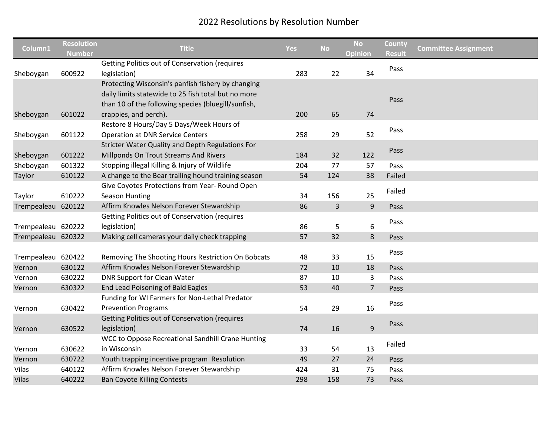| Column1            | <b>Resolution</b><br><b>Number</b> | <b>Title</b>                                                                                                                                                     | <b>Yes</b> | <b>No</b>    | <b>No</b><br>Opinion | County<br><b>Result</b> | <b>Committee Assignment</b> |
|--------------------|------------------------------------|------------------------------------------------------------------------------------------------------------------------------------------------------------------|------------|--------------|----------------------|-------------------------|-----------------------------|
| Sheboygan          | 600922                             | <b>Getting Politics out of Conservation (requires</b><br>legislation)                                                                                            | 283        | 22           | 34                   | Pass                    |                             |
|                    |                                    | Protecting Wisconsin's panfish fishery by changing<br>daily limits statewide to 25 fish total but no more<br>than 10 of the following species (bluegill/sunfish, |            |              |                      | Pass                    |                             |
| Sheboygan          | 601022                             | crappies, and perch).                                                                                                                                            | 200        | 65           | 74                   |                         |                             |
| Sheboygan          | 601122                             | Restore 8 Hours/Day 5 Days/Week Hours of<br><b>Operation at DNR Service Centers</b>                                                                              | 258        | 29           | 52                   | Pass                    |                             |
| Sheboygan          | 601222                             | Stricter Water Quality and Depth Regulations For<br>Millponds On Trout Streams And Rivers                                                                        | 184        | 32           | 122                  | Pass                    |                             |
| Sheboygan          | 601322                             | Stopping illegal Killing & Injury of Wildlife                                                                                                                    | 204        | 77           | 57                   | Pass                    |                             |
| Taylor             | 610122                             | A change to the Bear trailing hound training season                                                                                                              | 54         | 124          | 38                   | Failed                  |                             |
| Taylor             | 610222                             | Give Coyotes Protections from Year- Round Open<br><b>Season Hunting</b>                                                                                          | 34         | 156          | 25                   | Failed                  |                             |
| Trempealeau 620122 |                                    | Affirm Knowles Nelson Forever Stewardship                                                                                                                        | 86         | $\mathsf{3}$ | 9                    | Pass                    |                             |
| Trempealeau 620222 |                                    | <b>Getting Politics out of Conservation (requires</b><br>legislation)                                                                                            | 86         | 5            | 6                    | Pass                    |                             |
| Trempealeau 620322 |                                    | Making cell cameras your daily check trapping                                                                                                                    | 57         | 32           | 8                    | Pass                    |                             |
| Trempealeau 620422 |                                    | Removing The Shooting Hours Restriction On Bobcats                                                                                                               | 48         | 33           | 15                   | Pass                    |                             |
| Vernon             | 630122                             | Affirm Knowles Nelson Forever Stewardship                                                                                                                        | 72         | 10           | 18                   | Pass                    |                             |
| Vernon             | 630222                             | <b>DNR Support for Clean Water</b>                                                                                                                               | 87         | 10           | 3                    | Pass                    |                             |
| Vernon             | 630322                             | End Lead Poisoning of Bald Eagles                                                                                                                                | 53         | 40           | $\overline{7}$       | Pass                    |                             |
| Vernon             | 630422                             | Funding for WI Farmers for Non-Lethal Predator<br><b>Prevention Programs</b>                                                                                     | 54         | 29           | 16                   | Pass                    |                             |
| Vernon             | 630522                             | <b>Getting Politics out of Conservation (requires</b><br>legislation)                                                                                            | 74         | 16           | 9                    | Pass                    |                             |
| Vernon             | 630622                             | WCC to Oppose Recreational Sandhill Crane Hunting<br>in Wisconsin                                                                                                | 33         | 54           | 13                   | Failed                  |                             |
| Vernon             | 630722                             | Youth trapping incentive program Resolution                                                                                                                      | 49         | 27           | 24                   | Pass                    |                             |
| Vilas              | 640122                             | Affirm Knowles Nelson Forever Stewardship                                                                                                                        | 424        | 31           | 75                   | Pass                    |                             |
| <b>Vilas</b>       | 640222                             | <b>Ban Coyote Killing Contests</b>                                                                                                                               | 298        | 158          | 73                   | Pass                    |                             |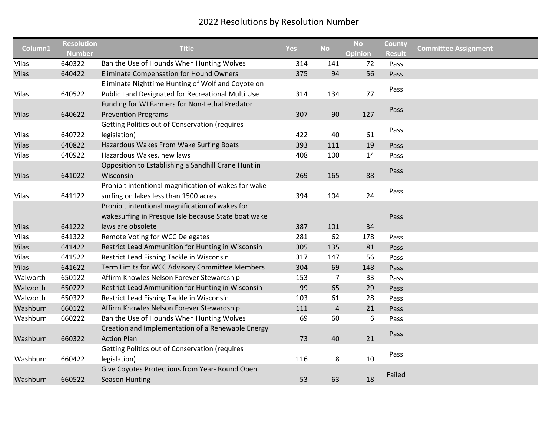| Column1               | <b>Resolution</b><br><b>Number</b> | <b>Title</b>                                                                                                                | <b>Yes</b> | <b>No</b> | <b>No</b><br><b>Opinion</b> | County<br><b>Result</b> | <b>Committee Assignment</b> |
|-----------------------|------------------------------------|-----------------------------------------------------------------------------------------------------------------------------|------------|-----------|-----------------------------|-------------------------|-----------------------------|
| Vilas                 | 640322                             | Ban the Use of Hounds When Hunting Wolves                                                                                   | 314        | 141       | 72                          | Pass                    |                             |
| <b>Vilas</b>          | 640422                             | Eliminate Compensation for Hound Owners                                                                                     | 375        | 94        | 56                          | Pass                    |                             |
| Vilas                 | 640522                             | Eliminate Nighttime Hunting of Wolf and Coyote on<br>Public Land Designated for Recreational Multi Use                      | 314        | 134       | 77                          | Pass                    |                             |
| <b>Vilas</b>          | 640622                             | Funding for WI Farmers for Non-Lethal Predator<br><b>Prevention Programs</b>                                                | 307        | 90        | 127                         | Pass                    |                             |
| Vilas                 | 640722                             | <b>Getting Politics out of Conservation (requires</b><br>legislation)                                                       | 422        | 40        | 61                          | Pass                    |                             |
| <b>Vilas</b>          | 640822                             | Hazardous Wakes From Wake Surfing Boats                                                                                     | 393        | 111       | 19                          | Pass                    |                             |
| Vilas                 | 640922                             | Hazardous Wakes, new laws                                                                                                   | 408        | 100       | 14                          | Pass                    |                             |
| <b>Vilas</b>          | 641022                             | Opposition to Establishing a Sandhill Crane Hunt in<br>Wisconsin                                                            | 269        | 165       | 88                          | Pass                    |                             |
| Vilas                 | 641122                             | Prohibit intentional magnification of wakes for wake<br>surfing on lakes less than 1500 acres                               | 394        | 104       | 24                          | Pass                    |                             |
|                       |                                    | Prohibit intentional magnification of wakes for<br>wakesurfing in Presque Isle because State boat wake<br>laws are obsolete |            |           |                             | Pass                    |                             |
| <b>Vilas</b><br>Vilas | 641222<br>641322                   | Remote Voting for WCC Delegates                                                                                             | 387        | 101<br>62 | 34                          |                         |                             |
| <b>Vilas</b>          | 641422                             | Restrict Lead Ammunition for Hunting in Wisconsin                                                                           | 281<br>305 | 135       | 178<br>81                   | Pass<br>Pass            |                             |
| Vilas                 | 641522                             | Restrict Lead Fishing Tackle in Wisconsin                                                                                   | 317        | 147       | 56                          | Pass                    |                             |
| <b>Vilas</b>          | 641622                             | Term Limits for WCC Advisory Committee Members                                                                              | 304        | 69        | 148                         | Pass                    |                             |
| Walworth              | 650122                             | Affirm Knowles Nelson Forever Stewardship                                                                                   | 153        | 7         | 33                          | Pass                    |                             |
| Walworth              | 650222                             | Restrict Lead Ammunition for Hunting in Wisconsin                                                                           | 99         | 65        | 29                          | Pass                    |                             |
| Walworth              | 650322                             | Restrict Lead Fishing Tackle in Wisconsin                                                                                   | 103        | 61        | 28                          | Pass                    |                             |
| Washburn              | 660122                             | Affirm Knowles Nelson Forever Stewardship                                                                                   | 111        | 4         | 21                          | Pass                    |                             |
| Washburn              | 660222                             | Ban the Use of Hounds When Hunting Wolves                                                                                   | 69         | 60        | 6                           | Pass                    |                             |
|                       |                                    | Creation and Implementation of a Renewable Energy                                                                           |            |           |                             |                         |                             |
| Washburn              | 660322                             | <b>Action Plan</b>                                                                                                          | 73         | 40        | 21                          | Pass                    |                             |
| Washburn              | 660422                             | <b>Getting Politics out of Conservation (requires</b><br>legislation)                                                       | 116        | 8         | 10                          | Pass                    |                             |
| Washburn              | 660522                             | Give Coyotes Protections from Year- Round Open<br><b>Season Hunting</b>                                                     | 53         | 63        | 18                          | Failed                  |                             |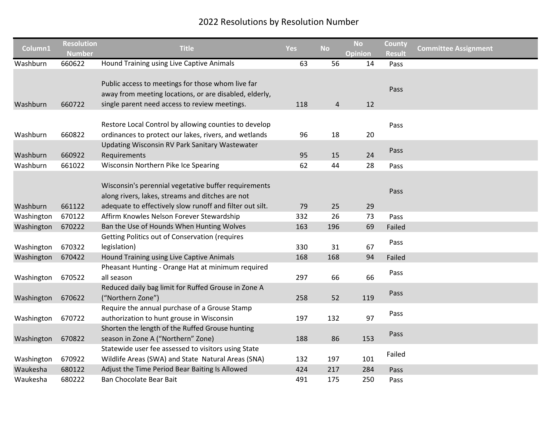| Column1                  | <b>Resolution</b> | <b>Title</b>                                                                                                                                                         | <b>Yes</b> | <b>No</b>      | <b>No</b>      | County        | <b>Committee Assignment</b> |
|--------------------------|-------------------|----------------------------------------------------------------------------------------------------------------------------------------------------------------------|------------|----------------|----------------|---------------|-----------------------------|
|                          | <b>Number</b>     |                                                                                                                                                                      |            |                | <b>Opinion</b> | <b>Result</b> |                             |
| Washburn                 | 660622            | Hound Training using Live Captive Animals                                                                                                                            | 63         | 56             | 14             | Pass          |                             |
|                          |                   | Public access to meetings for those whom live far<br>away from meeting locations, or are disabled, elderly,                                                          |            |                |                | Pass          |                             |
| Washburn                 | 660722            | single parent need access to review meetings.                                                                                                                        | 118        | $\overline{a}$ | 12             |               |                             |
| Washburn                 | 660822            | Restore Local Control by allowing counties to develop<br>ordinances to protect our lakes, rivers, and wetlands                                                       | 96         | 18             | 20             | Pass          |                             |
|                          |                   | <b>Updating Wisconsin RV Park Sanitary Wastewater</b>                                                                                                                |            |                |                |               |                             |
| Washburn                 | 660922            | Requirements                                                                                                                                                         | 95         | 15             | 24             | Pass          |                             |
| Washburn                 | 661022            | Wisconsin Northern Pike Ice Spearing                                                                                                                                 | 62         | 44             | 28             | Pass          |                             |
| Washburn                 | 661122            | Wisconsin's perennial vegetative buffer requirements<br>along rivers, lakes, streams and ditches are not<br>adequate to effectively slow runoff and filter out silt. | 79         | 25             | 29             | Pass          |                             |
| Washington               | 670122            | Affirm Knowles Nelson Forever Stewardship                                                                                                                            | 332        | 26             | 73             | Pass          |                             |
|                          | 670222            | Ban the Use of Hounds When Hunting Wolves                                                                                                                            | 163        | 196            | 69             | Failed        |                             |
| Washington<br>Washington | 670322            | <b>Getting Politics out of Conservation (requires</b><br>legislation)                                                                                                | 330        | 31             | 67             | Pass          |                             |
| Washington               | 670422            | Hound Training using Live Captive Animals                                                                                                                            | 168        | 168            | 94             | Failed        |                             |
| Washington               | 670522            | Pheasant Hunting - Orange Hat at minimum required<br>all season                                                                                                      | 297        | 66             | 66             | Pass          |                             |
| Washington               | 670622            | Reduced daily bag limit for Ruffed Grouse in Zone A<br>("Northern Zone")                                                                                             | 258        | 52             | 119            | Pass          |                             |
| Washington               | 670722            | Require the annual purchase of a Grouse Stamp<br>authorization to hunt grouse in Wisconsin                                                                           | 197        | 132            | 97             | Pass          |                             |
| Washington               | 670822            | Shorten the length of the Ruffed Grouse hunting<br>season in Zone A ("Northern" Zone)                                                                                | 188        | 86             | 153            | Pass          |                             |
| Washington               | 670922            | Statewide user fee assessed to visitors using State<br>Wildlife Areas (SWA) and State Natural Areas (SNA)                                                            | 132        | 197            | 101            | Failed        |                             |
| Waukesha                 | 680122            | Adjust the Time Period Bear Baiting Is Allowed                                                                                                                       | 424        | 217            | 284            | Pass          |                             |
| Waukesha                 | 680222            | Ban Chocolate Bear Bait                                                                                                                                              | 491        | 175            | 250            | Pass          |                             |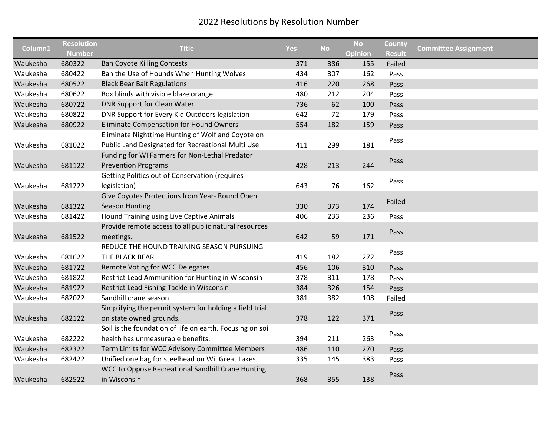| Column1  | <b>Resolution</b> | <b>Title</b>                                              | Yes | <b>No</b> | <b>No</b> | County        | <b>Committee Assignment</b> |
|----------|-------------------|-----------------------------------------------------------|-----|-----------|-----------|---------------|-----------------------------|
|          | <b>Number</b>     |                                                           |     |           | Opinion   | <b>Result</b> |                             |
| Waukesha | 680322            | <b>Ban Coyote Killing Contests</b>                        | 371 | 386       | 155       | Failed        |                             |
| Waukesha | 680422            | Ban the Use of Hounds When Hunting Wolves                 | 434 | 307       | 162       | Pass          |                             |
| Waukesha | 680522            | <b>Black Bear Bait Regulations</b>                        | 416 | 220       | 268       | Pass          |                             |
| Waukesha | 680622            | Box blinds with visible blaze orange                      | 480 | 212       | 204       | Pass          |                             |
| Waukesha | 680722            | DNR Support for Clean Water                               | 736 | 62        | 100       | Pass          |                             |
| Waukesha | 680822            | DNR Support for Every Kid Outdoors legislation            | 642 | 72        | 179       | Pass          |                             |
| Waukesha | 680922            | Eliminate Compensation for Hound Owners                   | 554 | 182       | 159       | Pass          |                             |
|          |                   | Eliminate Nighttime Hunting of Wolf and Coyote on         |     |           |           |               |                             |
| Waukesha | 681022            | Public Land Designated for Recreational Multi Use         | 411 | 299       | 181       | Pass          |                             |
|          |                   | Funding for WI Farmers for Non-Lethal Predator            |     |           |           |               |                             |
| Waukesha | 681122            | <b>Prevention Programs</b>                                | 428 | 213       | 244       | Pass          |                             |
|          |                   | <b>Getting Politics out of Conservation (requires</b>     |     |           |           |               |                             |
| Waukesha | 681222            | legislation)                                              | 643 | 76        | 162       | Pass          |                             |
|          |                   | Give Coyotes Protections from Year- Round Open            |     |           |           |               |                             |
| Waukesha | 681322            | <b>Season Hunting</b>                                     | 330 | 373       | 174       | Failed        |                             |
| Waukesha | 681422            | Hound Training using Live Captive Animals                 | 406 | 233       | 236       | Pass          |                             |
|          |                   | Provide remote access to all public natural resources     |     |           |           |               |                             |
| Waukesha | 681522            | meetings.                                                 | 642 | 59        | 171       | Pass          |                             |
|          |                   | REDUCE THE HOUND TRAINING SEASON PURSUING                 |     |           |           |               |                             |
| Waukesha | 681622            | THE BLACK BEAR                                            | 419 | 182       | 272       | Pass          |                             |
| Waukesha | 681722            | Remote Voting for WCC Delegates                           | 456 | 106       | 310       | Pass          |                             |
| Waukesha | 681822            | Restrict Lead Ammunition for Hunting in Wisconsin         | 378 | 311       | 178       | Pass          |                             |
| Waukesha | 681922            | Restrict Lead Fishing Tackle in Wisconsin                 | 384 | 326       | 154       | Pass          |                             |
| Waukesha | 682022            | Sandhill crane season                                     | 381 | 382       | 108       | Failed        |                             |
|          |                   | Simplifying the permit system for holding a field trial   |     |           |           |               |                             |
| Waukesha | 682122            | on state owned grounds.                                   | 378 | 122       | 371       | Pass          |                             |
|          |                   | Soil is the foundation of life on earth. Focusing on soil |     |           |           |               |                             |
| Waukesha | 682222            | health has unmeasurable benefits.                         | 394 | 211       | 263       | Pass          |                             |
| Waukesha | 682322            | Term Limits for WCC Advisory Committee Members            | 486 | 110       | 270       | Pass          |                             |
| Waukesha | 682422            | Unified one bag for steelhead on Wi. Great Lakes          | 335 | 145       | 383       | Pass          |                             |
|          |                   | WCC to Oppose Recreational Sandhill Crane Hunting         |     |           |           |               |                             |
| Waukesha | 682522            | in Wisconsin                                              | 368 | 355       | 138       | Pass          |                             |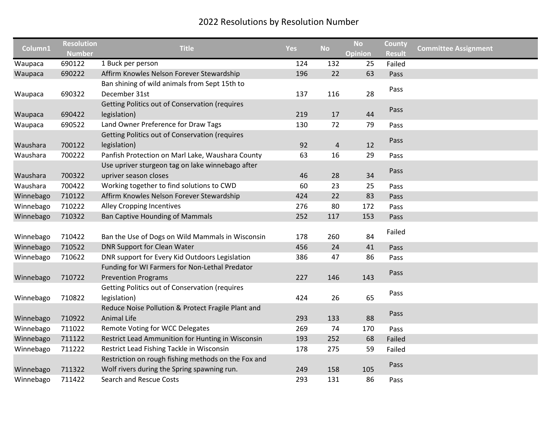| Column1   | <b>Resolution</b> | <b>Title</b>                                          | <b>Yes</b> | <b>No</b>      | <b>No</b>      | County        | <b>Committee Assignment</b> |
|-----------|-------------------|-------------------------------------------------------|------------|----------------|----------------|---------------|-----------------------------|
|           | <b>Number</b>     |                                                       |            |                | <b>Opinion</b> | <b>Result</b> |                             |
| Waupaca   | 690122            | 1 Buck per person                                     | 124        | 132            | 25             | Failed        |                             |
| Waupaca   | 690222            | Affirm Knowles Nelson Forever Stewardship             | 196        | 22             | 63             | Pass          |                             |
|           |                   | Ban shining of wild animals from Sept 15th to         |            |                |                | Pass          |                             |
| Waupaca   | 690322            | December 31st                                         | 137        | 116            | 28             |               |                             |
|           |                   | <b>Getting Politics out of Conservation (requires</b> |            |                |                | Pass          |                             |
| Waupaca   | 690422            | legislation)                                          | 219        | 17             | 44             |               |                             |
| Waupaca   | 690522            | Land Owner Preference for Draw Tags                   | 130        | 72             | 79             | Pass          |                             |
|           |                   | Getting Politics out of Conservation (requires        |            |                |                | Pass          |                             |
| Waushara  | 700122            | legislation)                                          | 92         | $\overline{4}$ | 12             |               |                             |
| Waushara  | 700222            | Panfish Protection on Marl Lake, Waushara County      | 63         | 16             | 29             | Pass          |                             |
|           |                   | Use upriver sturgeon tag on lake winnebago after      |            |                |                | Pass          |                             |
| Waushara  | 700322            | upriver season closes                                 | 46         | 28             | 34             |               |                             |
| Waushara  | 700422            | Working together to find solutions to CWD             | 60         | 23             | 25             | Pass          |                             |
| Winnebago | 710122            | Affirm Knowles Nelson Forever Stewardship             | 424        | 22             | 83             | Pass          |                             |
| Winnebago | 710222            | <b>Alley Cropping Incentives</b>                      | 276        | 80             | 172            | Pass          |                             |
| Winnebago | 710322            | <b>Ban Captive Hounding of Mammals</b>                | 252        | 117            | 153            | Pass          |                             |
|           |                   |                                                       |            |                |                | Failed        |                             |
| Winnebago | 710422            | Ban the Use of Dogs on Wild Mammals in Wisconsin      | 178        | 260            | 84             |               |                             |
| Winnebago | 710522            | <b>DNR Support for Clean Water</b>                    | 456        | 24             | 41             | Pass          |                             |
| Winnebago | 710622            | DNR support for Every Kid Outdoors Legislation        | 386        | 47             | 86             | Pass          |                             |
|           |                   | Funding for WI Farmers for Non-Lethal Predator        |            |                |                | Pass          |                             |
| Winnebago | 710722            | <b>Prevention Programs</b>                            | 227        | 146            | 143            |               |                             |
|           |                   | Getting Politics out of Conservation (requires        |            |                |                | Pass          |                             |
| Winnebago | 710822            | legislation)                                          | 424        | 26             | 65             |               |                             |
|           |                   | Reduce Noise Pollution & Protect Fragile Plant and    |            |                |                | Pass          |                             |
| Winnebago | 710922            | Animal Life                                           | 293        | 133            | 88             |               |                             |
| Winnebago | 711022            | <b>Remote Voting for WCC Delegates</b>                | 269        | 74             | 170            | Pass          |                             |
| Winnebago | 711122            | Restrict Lead Ammunition for Hunting in Wisconsin     | 193        | 252            | 68             | Failed        |                             |
| Winnebago | 711222            | Restrict Lead Fishing Tackle in Wisconsin             | 178        | 275            | 59             | Failed        |                             |
|           |                   | Restriction on rough fishing methods on the Fox and   |            |                |                | Pass          |                             |
| Winnebago | 711322            | Wolf rivers during the Spring spawning run.           | 249        | 158            | 105            |               |                             |
| Winnebago | 711422            | <b>Search and Rescue Costs</b>                        | 293        | 131            | 86             | Pass          |                             |